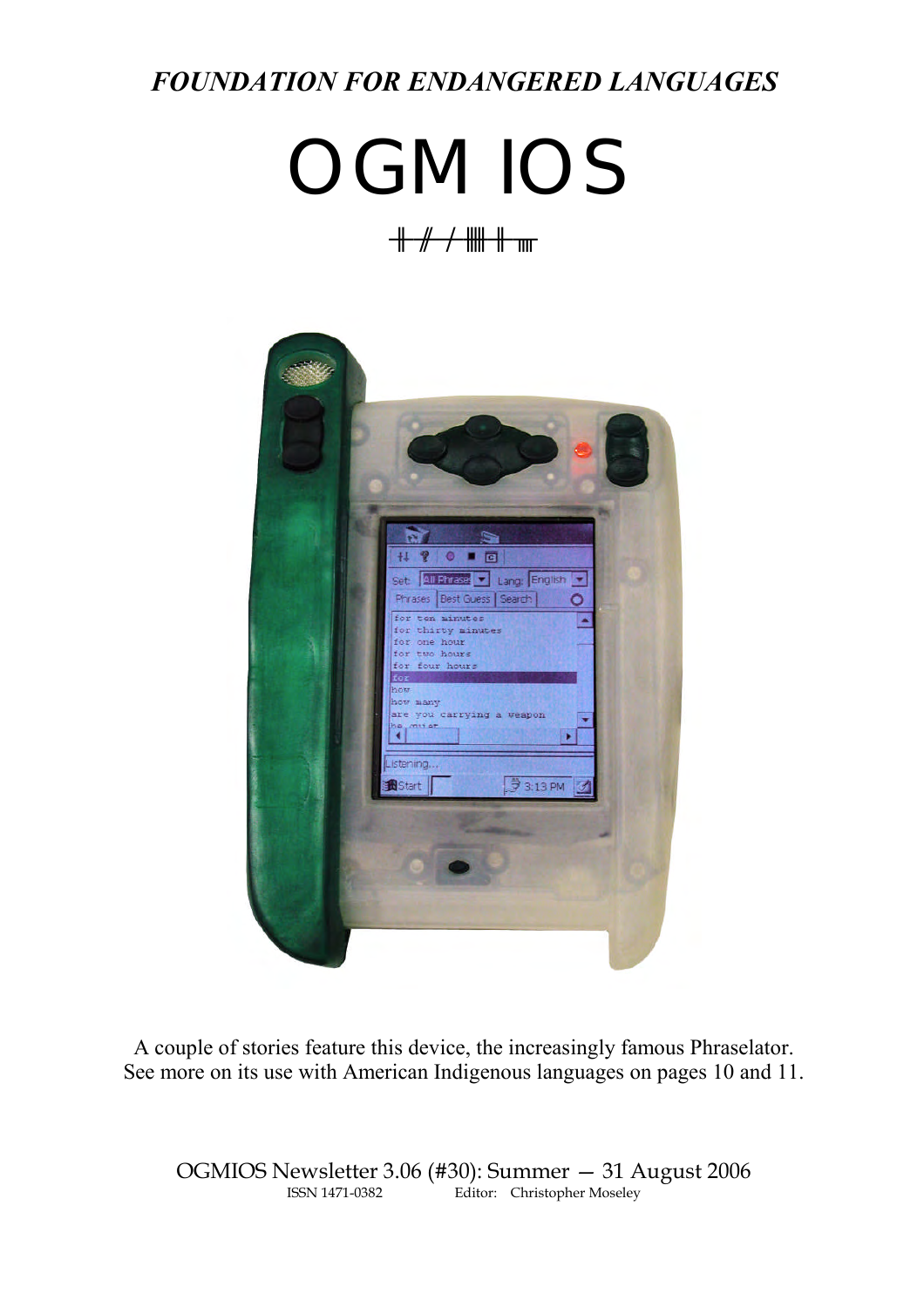### *FOUNDATION FOR ENDANGERED LANGUAGES*

# **OGMIOS**

# ogmios



A couple of stories feature this device, the increasingly famous Phraselator. See more on its use with American Indigenous languages on pages 10 and 11.

OGMIOS Newsletter 3.06 (#30): Summer — 31 August 2006 Editor: Christopher Moseley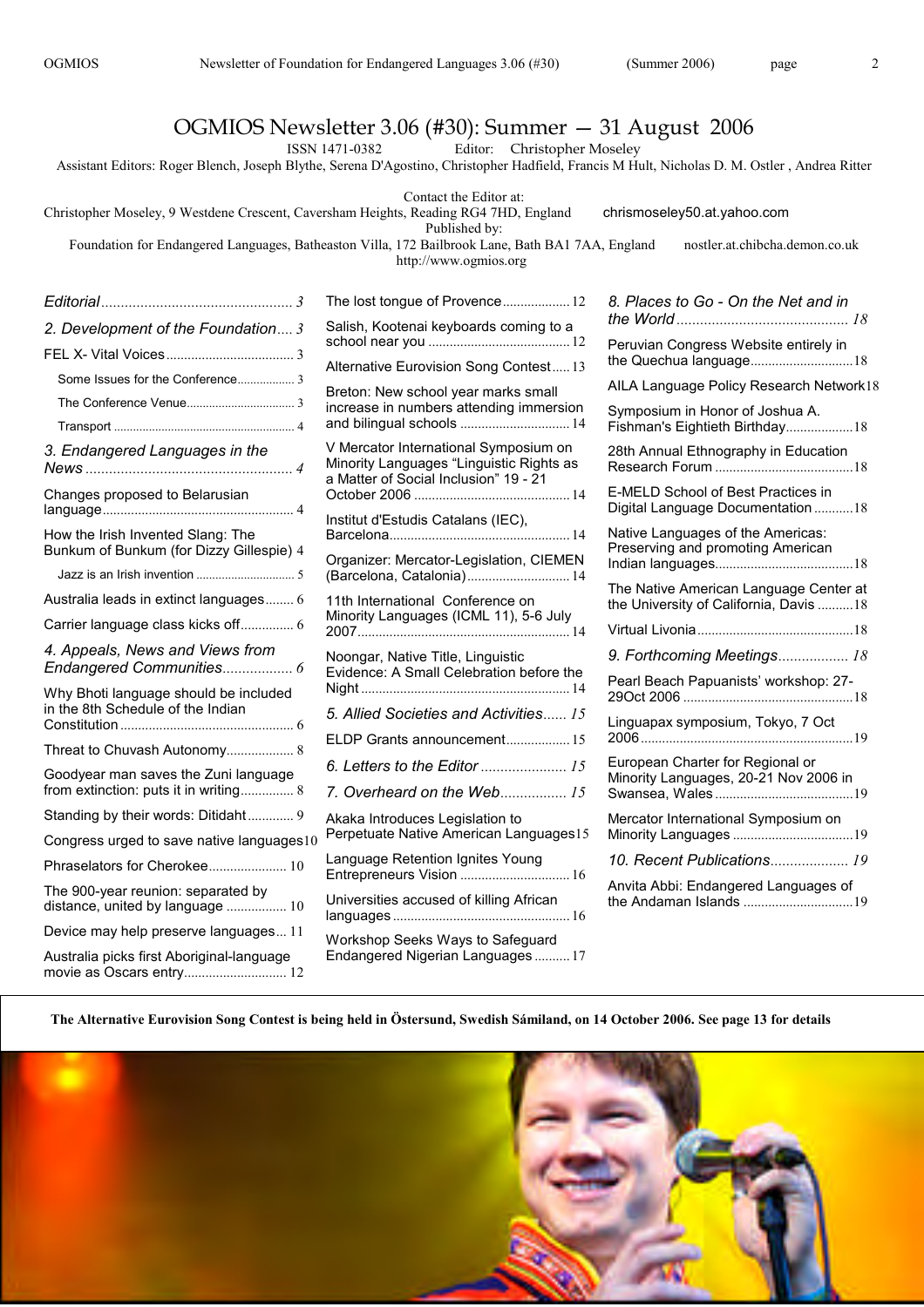# OGMIOS Newsletter 3.06 (#30): Summer - 31 August 2006<br>
ISSN 1471-0382<br>
Editor: Christopher Moseley

Editor: Christopher Moseley

Assistant Editors: Roger Blench, Joseph Blythe, Serena D'Agostino, Christopher Hadfield, Francis M Hult, Nicholas D. M. Ostler , Andrea Ritter

| Christopher Moseley, 9 Westdene Crescent, Caversham Heights, Reading RG4 7HD, England | Contact the Editor at:<br>Published by:                                                                                    | chrismoseley50.at.yahoo.com                                             |
|---------------------------------------------------------------------------------------|----------------------------------------------------------------------------------------------------------------------------|-------------------------------------------------------------------------|
|                                                                                       | Foundation for Endangered Languages, Batheaston Villa, 172 Bailbrook Lane, Bath BA1 7AA, England<br>http://www.ogmios.org  | nostler.at.chibcha.demon.co.uk                                          |
|                                                                                       | The lost tongue of Provence 12                                                                                             | 8. Places to Go - On the Net and in                                     |
| 2. Development of the Foundation 3                                                    | Salish, Kootenai keyboards coming to a                                                                                     |                                                                         |
|                                                                                       | Alternative Eurovision Song Contest 13                                                                                     | Peruvian Congress Website entirely in                                   |
| Some Issues for the Conference 3                                                      |                                                                                                                            | AILA Language Policy Research Network18                                 |
|                                                                                       | Breton: New school year marks small<br>increase in numbers attending immersion                                             | Symposium in Honor of Joshua A.                                         |
|                                                                                       |                                                                                                                            | Fishman's Eightieth Birthday18                                          |
| 3. Endangered Languages in the                                                        | V Mercator International Symposium on<br>Minority Languages "Linguistic Rights as<br>a Matter of Social Inclusion" 19 - 21 | 28th Annual Ethnography in Education                                    |
| Changes proposed to Belarusian                                                        | Institut d'Estudis Catalans (IEC),                                                                                         | E-MELD School of Best Practices in<br>Digital Language Documentation 18 |
| How the Irish Invented Slang: The<br>Bunkum of Bunkum (for Dizzy Gillespie) 4         | Organizer: Mercator-Legislation, CIEMEN                                                                                    | Native Languages of the Americas:<br>Preserving and promoting American  |
|                                                                                       | (Barcelona, Catalonia) 14                                                                                                  | The Native American Language Center at                                  |
| Australia leads in extinct languages 6                                                | 11th International Conference on                                                                                           | the University of California, Davis 18                                  |
| Carrier language class kicks off 6                                                    | Minority Languages (ICML 11), 5-6 July                                                                                     |                                                                         |
| 4. Appeals, News and Views from                                                       | Noongar, Native Title, Linguistic<br>Evidence: A Small Celebration before the                                              | 9. Forthcoming Meetings 18                                              |
| Why Bhoti language should be included                                                 |                                                                                                                            | Pearl Beach Papuanists' workshop: 27-                                   |
| in the 8th Schedule of the Indian                                                     | 5. Allied Societies and Activities 15<br>ELDP Grants announcement 15                                                       | Linguapax symposium, Tokyo, 7 Oct                                       |
| Threat to Chuvash Autonomy 8                                                          |                                                                                                                            | European Charter for Regional or                                        |
| Goodyear man saves the Zuni language<br>from extinction: puts it in writing 8         | 6. Letters to the Editor  15<br>7. Overheard on the Web 15                                                                 | Minority Languages, 20-21 Nov 2006 in                                   |
| Standing by their words: Ditidaht 9                                                   | Akaka Introduces Legislation to                                                                                            | Mercator International Symposium on                                     |
| Congress urged to save native languages $10$                                          | Perpetuate Native American Languages15                                                                                     |                                                                         |
| Phraselators for Cherokee 10                                                          | Language Retention Ignites Young                                                                                           | 10. Recent Publications 19                                              |
| The 900-year reunion: separated by<br>distance, united by language  10                | Universities accused of killing African                                                                                    | Anvita Abbi: Endangered Languages of                                    |
| Device may help preserve languages 11                                                 | Workshop Seeks Ways to Safeguard                                                                                           |                                                                         |
| Australia picks first Aboriginal-language<br>movie as Oscars entry 12                 | Endangered Nigerian Languages  17                                                                                          |                                                                         |

**The Alternative Eurovision Song Contest is being held in Östersund, Swedish Sámiland, on 14 October 2006. See page 13 for details**

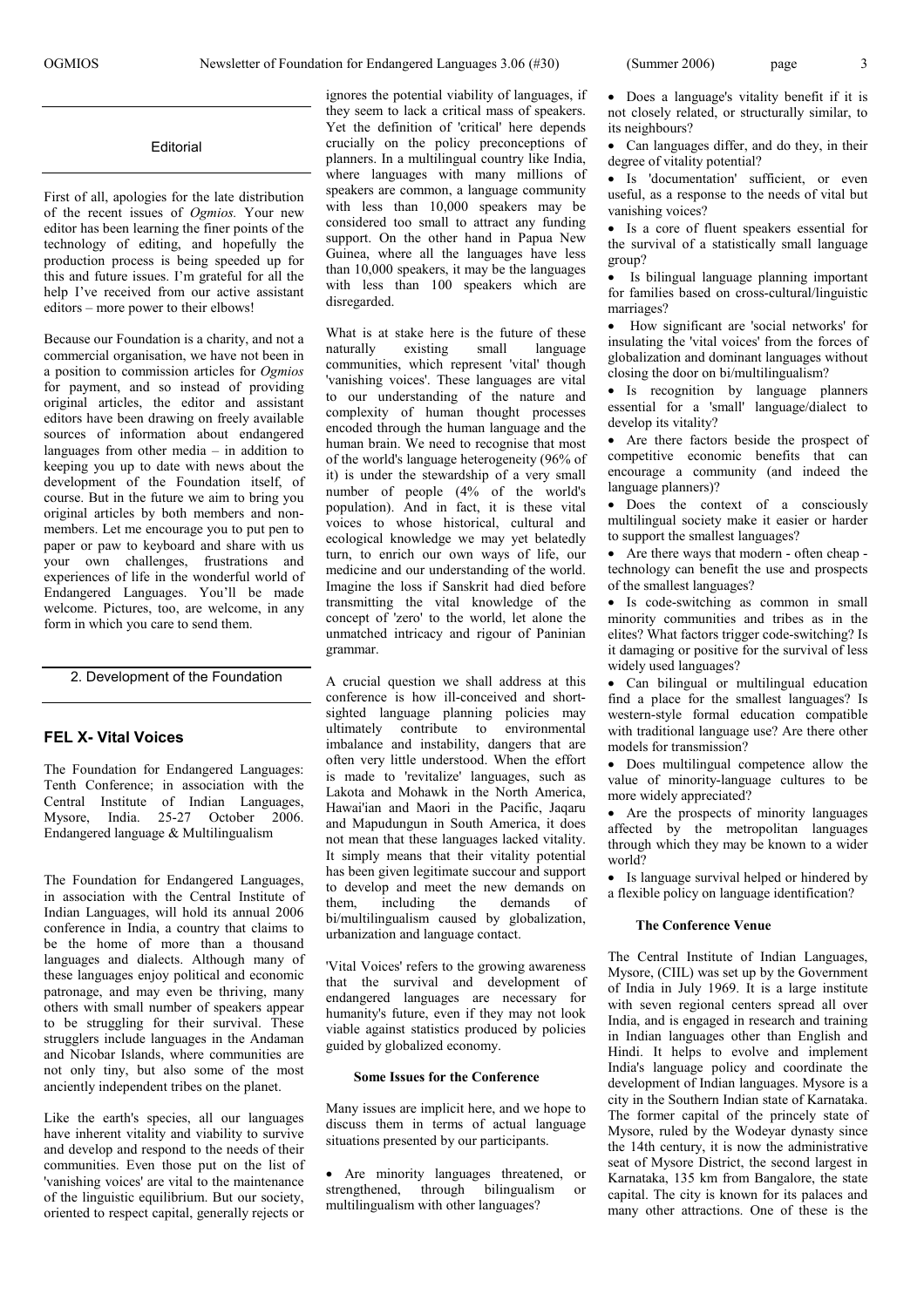#### Editorial

First of all, apologies for the late distribution of the recent issues of *Ogmios.* Your new editor has been learning the finer points of the technology of editing, and hopefully the production process is being speeded up for this and future issues. I'm grateful for all the help I've received from our active assistant editors – more power to their elbows!

Because our Foundation is a charity, and not a<br>
naturally<br>  $\frac{W}{R}$  is a<br>
naturally commercial organisation, we have not been in a position to commission articles for *Ogmios* for payment, and so instead of providing original articles, the editor and assistant editors have been drawing on freely available sources of information about endangered languages from other media  $-$  in addition to keeping you up to date with news about the development of the Foundation itself, of course. But in the future we aim to bring you original articles by both members and nonmembers. Let me encourage you to put pen to paper or paw to keyboard and share with us your own challenges, frustrations and experiences of life in the wonderful world of Endangered Languages. You'll be made welcome. Pictures, too, are welcome, in any form in which you care to send them.

2. Development of the Foundation

#### **FEL X- Vital Voices**

The Foundation for Endangered Languages: Tenth Conference; in association with the Central Institute of Indian Languages, Mysore, India. 25-27 October 2006. Endangered language & Multilingualism

The Foundation for Endangered Languages, in association with the Central Institute of Indian Languages, will hold its annual 2006 conference in India, a country that claims to be the home of more than a thousand languages and dialects. Although many of these languages enjoy political and economic patronage, and may even be thriving, many others with small number of speakers appear to be struggling for their survival. These strugglers include languages in the Andaman and Nicobar Islands, where communities are not only tiny, but also some of the most anciently independent tribes on the planet.

Like the earth's species, all our languages have inherent vitality and viability to survive and develop and respond to the needs of their communities. Even those put on the list of 'vanishing voices' are vital to the maintenance of the linguistic equilibrium. But our society, oriented to respect capital, generally rejects or

ignores the potential viability of languages, if they seem to lack a critical mass of speakers. Yet the definition of 'critical' here depends crucially on the policy preconceptions of planners. In a multilingual country like India, where languages with many millions of speakers are common, a language community with less than 10,000 speakers may be considered too small to attract any funding support. On the other hand in Papua New Guinea, where all the languages have less than 10,000 speakers, it may be the languages with less than 100 speakers which are disregarded.

What is at stake here is the future of these existing small language communities, which represent 'vital' though 'vanishing voices'. These languages are vital to our understanding of the nature and complexity of human thought processes encoded through the human language and the human brain. We need to recognise that most of the world's language heterogeneity (96% of it) is under the stewardship of a very small number of people (4% of the world's population). And in fact, it is these vital voices to whose historical, cultural and ecological knowledge we may yet belatedly turn, to enrich our own ways of life, our medicine and our understanding of the world. Imagine the loss if Sanskrit had died before transmitting the vital knowledge of the concept of 'zero' to the world, let alone the unmatched intricacy and rigour of Paninian grammar.

A crucial question we shall address at this conference is how ill-conceived and shortsighted language planning policies may ultimately contribute to environmental imbalance and instability, dangers that are often very little understood. When the effort is made to 'revitalize' languages, such as Lakota and Mohawk in the North America, Hawai'ian and Maori in the Pacific, Jaqaru and Mapudungun in South America, it does not mean that these languages lacked vitality. It simply means that their vitality potential has been given legitimate succour and support to develop and meet the new demands on them, including the demands of bi/multilingualism caused by globalization, urbanization and language contact.

'Vital Voices' refers to the growing awareness that the survival and development of endangered languages are necessary for humanity's future, even if they may not look viable against statistics produced by policies guided by globalized economy.

#### **Some Issues for the Conference**

Many issues are implicit here, and we hope to discuss them in terms of actual language situations presented by our participants.

Are minority languages threatened, or strengthened, through bilingualism or multilingualism with other languages?

Does a language's vitality benefit if it is not closely related, or structurally similar, to its neighbours?

• Can languages differ, and do they, in their degree of vitality potential?

Is 'documentation' sufficient, or even useful, as a response to the needs of vital but vanishing voices?

Is a core of fluent speakers essential for the survival of a statistically small language group?

Is bilingual language planning important for families based on cross-cultural/linguistic marriages?

How significant are 'social networks' for insulating the 'vital voices' from the forces of globalization and dominant languages without closing the door on bi/multilingualism?

• Is recognition by language planners essential for a 'small' language/dialect to develop its vitality?

Are there factors beside the prospect of competitive economic benefits that can encourage a community (and indeed the language planners)?

• Does the context of a consciously multilingual society make it easier or harder to support the smallest languages?

Are there ways that modern - often cheap technology can benefit the use and prospects of the smallest languages?

• Is code-switching as common in small minority communities and tribes as in the elites? What factors trigger code-switching? Is it damaging or positive for the survival of less widely used languages?

Can bilingual or multilingual education find a place for the smallest languages? Is western-style formal education compatible with traditional language use? Are there other models for transmission?

Does multilingual competence allow the value of minority-language cultures to be more widely appreciated?

• Are the prospects of minority languages affected by the metropolitan languages through which they may be known to a wider world?

• Is language survival helped or hindered by a flexible policy on language identification?

#### **The Conference Venue**

The Central Institute of Indian Languages, Mysore, (CIIL) was set up by the Government of India in July 1969. It is a large institute with seven regional centers spread all over India, and is engaged in research and training in Indian languages other than English and Hindi. It helps to evolve and implement India's language policy and coordinate the development of Indian languages. Mysore is a city in the Southern Indian state of Karnataka. The former capital of the princely state of Mysore, ruled by the Wodevar dynasty since the 14th century, it is now the administrative seat of Mysore District, the second largest in Karnataka, 135 km from Bangalore, the state capital. The city is known for its palaces and many other attractions. One of these is the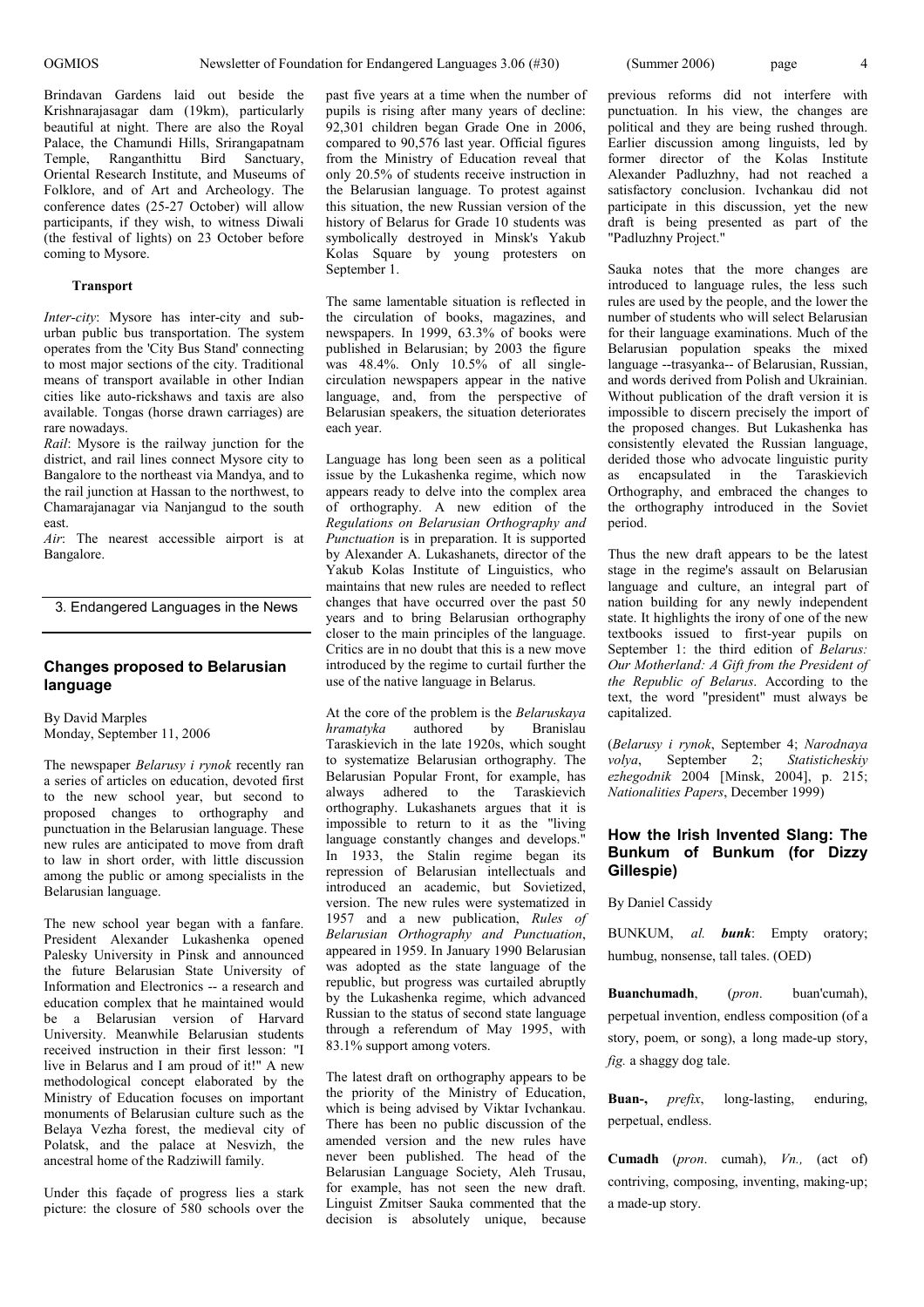Brindavan Gardens laid out beside the Krishnarajasagar dam (19km), particularly beautiful at night. There are also the Royal Palace, the Chamundi Hills, Srirangapatnam Temple, Ranganthittu Bird Sanctuary, Oriental Research Institute, and Museums of Folklore, and of Art and Archeology. The conference dates (25-27 October) will allow participants, if they wish, to witness Diwali (the festival of lights) on 23 October before coming to Mysore.

#### **Transport**

*Inter-city*: Mysore has inter-city and suburban public bus transportation. The system operates from the 'City Bus Stand' connecting to most major sections of the city. Traditional means of transport available in other Indian cities like auto-rickshaws and taxis are also available. Tongas (horse drawn carriages) are rare nowadays.

*Rail*: Mysore is the railway junction for the district, and rail lines connect Mysore city to Bangalore to the northeast via Mandya, and to the rail junction at Hassan to the northwest, to Chamarajanagar via Nanjangud to the south east.

*Air*: The nearest accessible airport is at Bangalore.

3. Endangered Languages in the News

#### **Changes proposed to Belarusian language**

By David Marples Monday, September 11, 2006

The newspaper *Belarusy i rynok* recently ran a series of articles on education, devoted first to the new school year, but second to proposed changes to orthography and punctuation in the Belarusian language. These new rules are anticipated to move from draft to law in short order, with little discussion among the public or among specialists in the Belarusian language.

The new school year began with a fanfare. President Alexander Lukashenka opened Palesky University in Pinsk and announced the future Belarusian State University of Information and Electronics -- a research and education complex that he maintained would be a Belarusian version of Harvard University. Meanwhile Belarusian students received instruction in their first lesson: "I live in Belarus and I am proud of it!" A new methodological concept elaborated by the Ministry of Education focuses on important monuments of Belarusian culture such as the Belaya Vezha forest, the medieval city of Polatsk, and the palace at Nesvizh, the ancestral home of the Radziwill family.

Under this façade of progress lies a stark picture: the closure of 580 schools over the

past five years at a time when the number of pupils is rising after many years of decline: 92,301 children began Grade One in 2006, compared to 90,576 last year. Official figures from the Ministry of Education reveal that only 20.5% of students receive instruction in the Belarusian language. To protest against this situation, the new Russian version of the history of Belarus for Grade 10 students was symbolically destroyed in Minsk's Yakub Kolas Square by young protesters on September 1.

The same lamentable situation is reflected in the circulation of books, magazines, and newspapers. In 1999, 63.3% of books were published in Belarusian; by 2003 the figure was 48.4%. Only 10.5% of all singlecirculation newspapers appear in the native language, and, from the perspective of Belarusian speakers, the situation deteriorates each year.

Language has long been seen as a political issue by the Lukashenka regime, which now appears ready to delve into the complex area of orthography. A new edition of the *Regulations on Belarusian Orthography and Punctuation* is in preparation. It is supported by Alexander A. Lukashanets, director of the Yakub Kolas Institute of Linguistics, who maintains that new rules are needed to reflect changes that have occurred over the past 50 years and to bring Belarusian orthography closer to the main principles of the language. Critics are in no doubt that this is a new move introduced by the regime to curtail further the use of the native language in Belarus.

At the core of the problem is the *Belaruskaya hramatyka* authored by Branislau Taraskievich in the late 1920s, which sought to systematize Belarusian orthography. The Belarusian Popular Front, for example, has always adhered to the Taraskievich orthography. Lukashanets argues that it is impossible to return to it as the "living language constantly changes and develops." In 1933, the Stalin regime began its repression of Belarusian intellectuals and introduced an academic, but Sovietized, version. The new rules were systematized in 1957 and a new publication, *Rules of Belarusian Orthography and Punctuation*, appeared in 1959. In January 1990 Belarusian was adopted as the state language of the republic, but progress was curtailed abruptly by the Lukashenka regime, which advanced Russian to the status of second state language through a referendum of May 1995, with 83.1% support among voters.

The latest draft on orthography appears to be the priority of the Ministry of Education, which is being advised by Viktar Ivchankau. There has been no public discussion of the amended version and the new rules have never been published. The head of the Belarusian Language Society, Aleh Trusau, for example, has not seen the new draft. Linguist Zmitser Sauka commented that the decision is absolutely unique, because

previous reforms did not interfere with punctuation. In his view, the changes are political and they are being rushed through. Earlier discussion among linguists, led by former director of the Kolas Institute Alexander Padluzhny, had not reached a satisfactory conclusion. Ivchankau did not participate in this discussion, yet the new draft is being presented as part of the "Padluzhny Project."

Sauka notes that the more changes are introduced to language rules, the less such rules are used by the people, and the lower the number of students who will select Belarusian for their language examinations. Much of the Belarusian population speaks the mixed language --trasyanka-- of Belarusian, Russian, and words derived from Polish and Ukrainian. Without publication of the draft version it is impossible to discern precisely the import of the proposed changes. But Lukashenka has consistently elevated the Russian language, derided those who advocate linguistic purity as encapsulated in the Taraskievich Orthography, and embraced the changes to the orthography introduced in the Soviet period.

Thus the new draft appears to be the latest stage in the regime's assault on Belarusian language and culture, an integral part of nation building for any newly independent state. It highlights the irony of one of the new textbooks issued to first-year pupils on September 1: the third edition of *Belarus: Our Motherland: A Gift from the President of the Republic of Belarus*. According to the text, the word "president" must always be capitalized.

(*Belarusy i rynok*, September 4; *Narodnaya volya*, September 2; *Statisticheskiy ezhegodnik* 2004 [Minsk, 2004], p. 215; *Nationalities Papers*, December 1999)

#### **How the Irish Invented Slang: The Bunkum of Bunkum (for Dizzy Gillespie)**

#### By Daniel Cassidy

BUNKUM, *al. bunk*: Empty oratory; humbug, nonsense, tall tales. (OED)

**Buanchumadh**, (*pron*. buan'cumah), perpetual invention, endless composition (of a story, poem, or song), a long made-up story, *fig.* a shaggy dog tale.

**Buan-,** *prefix*, long-lasting, enduring, perpetual, endless.

**Cumadh** (*pron*. cumah), *Vn.,* (act of) contriving, composing, inventing, making-up; a made-up story.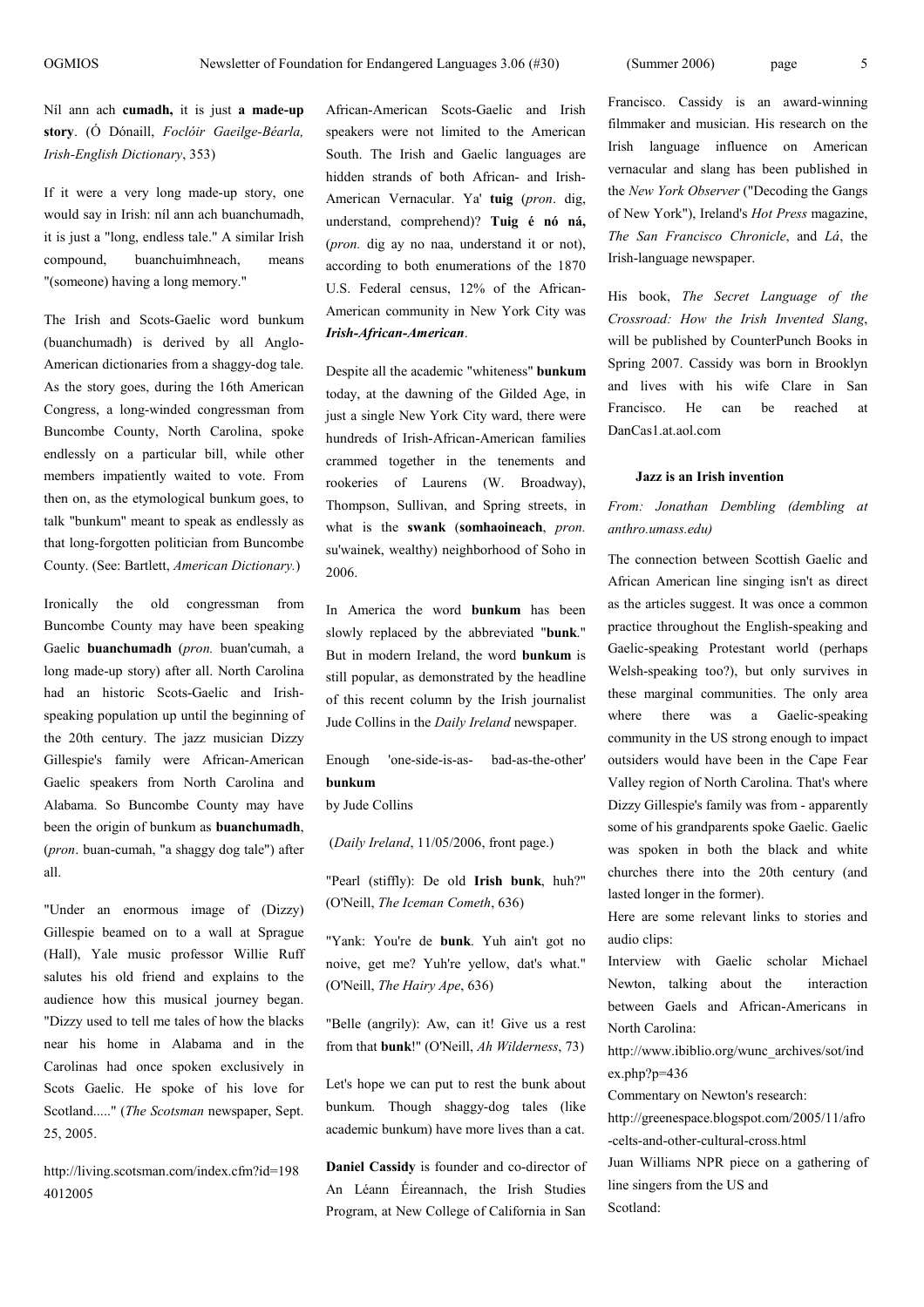Níl ann ach **cumadh,** it is just **a made-up story**. (Ó Dónaill, *Foclóir Gaeilge-Béarla, Irish-English Dictionary*, 353)

If it were a very long made-up story, one would say in Irish: níl ann ach buanchumadh, it is just a "long, endless tale." A similar Irish compound, buanchuimhneach, means "(someone) having a long memory."

The Irish and Scots-Gaelic word bunkum (buanchumadh) is derived by all Anglo-American dictionaries from a shaggy-dog tale. As the story goes, during the 16th American Congress, a long-winded congressman from Buncombe County, North Carolina, spoke endlessly on a particular bill, while other members impatiently waited to vote. From then on, as the etymological bunkum goes, to talk "bunkum" meant to speak as endlessly as that long-forgotten politician from Buncombe County. (See: Bartlett, *American Dictionary.*)

Ironically the old congressman from Buncombe County may have been speaking Gaelic **buanchumadh** (*pron.* buan'cumah, a long made-up story) after all. North Carolina had an historic Scots-Gaelic and Irishspeaking population up until the beginning of the 20th century. The jazz musician Dizzy Gillespie's family were African-American Gaelic speakers from North Carolina and Alabama. So Buncombe County may have been the origin of bunkum as **buanchumadh**, (*pron*. buan-cumah, "a shaggy dog tale") after all.

"Under an enormous image of (Dizzy) Gillespie beamed on to a wall at Sprague (Hall), Yale music professor Willie Ruff salutes his old friend and explains to the audience how this musical journey began. "Dizzy used to tell me tales of how the blacks near his home in Alabama and in the Carolinas had once spoken exclusively in Scots Gaelic. He spoke of his love for Scotland....." (*The Scotsman* newspaper, Sept. 25, 2005.

http://living.scotsman.com/index.cfm?id=198 4012005

African-American Scots-Gaelic and Irish speakers were not limited to the American South. The Irish and Gaelic languages are hidden strands of both African- and Irish-American Vernacular. Ya' **tuig** (*pron*. dig, understand, comprehend)? **Tuig é nó ná,** (*pron.* dig ay no naa, understand it or not), according to both enumerations of the 1870 U.S. Federal census, 12% of the African-American community in New York City was *Irish-African-American*.

Despite all the academic "whiteness" **bunkum** today, at the dawning of the Gilded Age, in just a single New York City ward, there were hundreds of Irish-African-American families crammed together in the tenements and rookeries of Laurens (W. Broadway), Thompson, Sullivan, and Spring streets, in what is the **swank** (**somhaoineach**, *pron.* su'wainek, wealthy) neighborhood of Soho in 2006.

In America the word **bunkum** has been slowly replaced by the abbreviated "**bunk**." But in modern Ireland, the word **bunkum** is still popular, as demonstrated by the headline of this recent column by the Irish journalist Jude Collins in the *Daily Ireland* newspaper.

Enough 'one-side-is-as- bad-as-the-other' **bunkum**

by Jude Collins

(*Daily Ireland*, 11/05/2006, front page.)

"Pearl (stiffly): De old **Irish bunk**, huh?" (O'Neill, *The Iceman Cometh*, 636)

"Yank: You're de **bunk**. Yuh ain't got no noive, get me? Yuh're yellow, dat's what." (O'Neill, *The Hairy Ape*, 636)

"Belle (angrily): Aw, can it! Give us a rest from that **bunk**!" (O'Neill, *Ah Wilderness*, 73)

Let's hope we can put to rest the bunk about bunkum. Though shaggy-dog tales (like academic bunkum) have more lives than a cat.

**Daniel Cassidy** is founder and co-director of An Léann Éireannach, the Irish Studies Program, at New College of California in San

Francisco. Cassidy is an award-winning filmmaker and musician. His research on the Irish language influence on American vernacular and slang has been published in the *New York Observer* ("Decoding the Gangs of New York"), Ireland's *Hot Press* magazine, *The San Francisco Chronicle*, and *Lá*, the Irish-language newspaper.

His book, *The Secret Language of the Crossroad: How the Irish Invented Slang*, will be published by CounterPunch Books in Spring 2007. Cassidy was born in Brooklyn and lives with his wife Clare in San Francisco. He can be reached at DanCas1.at.aol.com

#### **Jazz is an Irish invention**

*From: Jonathan Dembling (dembling at anthro.umass.edu)*

The connection between Scottish Gaelic and African American line singing isn't as direct as the articles suggest. It was once a common practice throughout the English-speaking and Gaelic-speaking Protestant world (perhaps Welsh-speaking too?), but only survives in these marginal communities. The only area where there was a Gaelic-speaking community in the US strong enough to impact outsiders would have been in the Cape Fear Valley region of North Carolina. That's where Dizzy Gillespie's family was from - apparently some of his grandparents spoke Gaelic. Gaelic was spoken in both the black and white churches there into the 20th century (and lasted longer in the former).

Here are some relevant links to stories and audio clips:

Interview with Gaelic scholar Michael Newton, talking about the interaction between Gaels and African-Americans in North Carolina:

http://www.ibiblio.org/wunc\_archives/sot/ind ex.php?p=436

Commentary on Newton's research:

http://greenespace.blogspot.com/2005/11/afro -celts-and-other-cultural-cross.html

Juan Williams NPR piece on a gathering of line singers from the US and Scotland: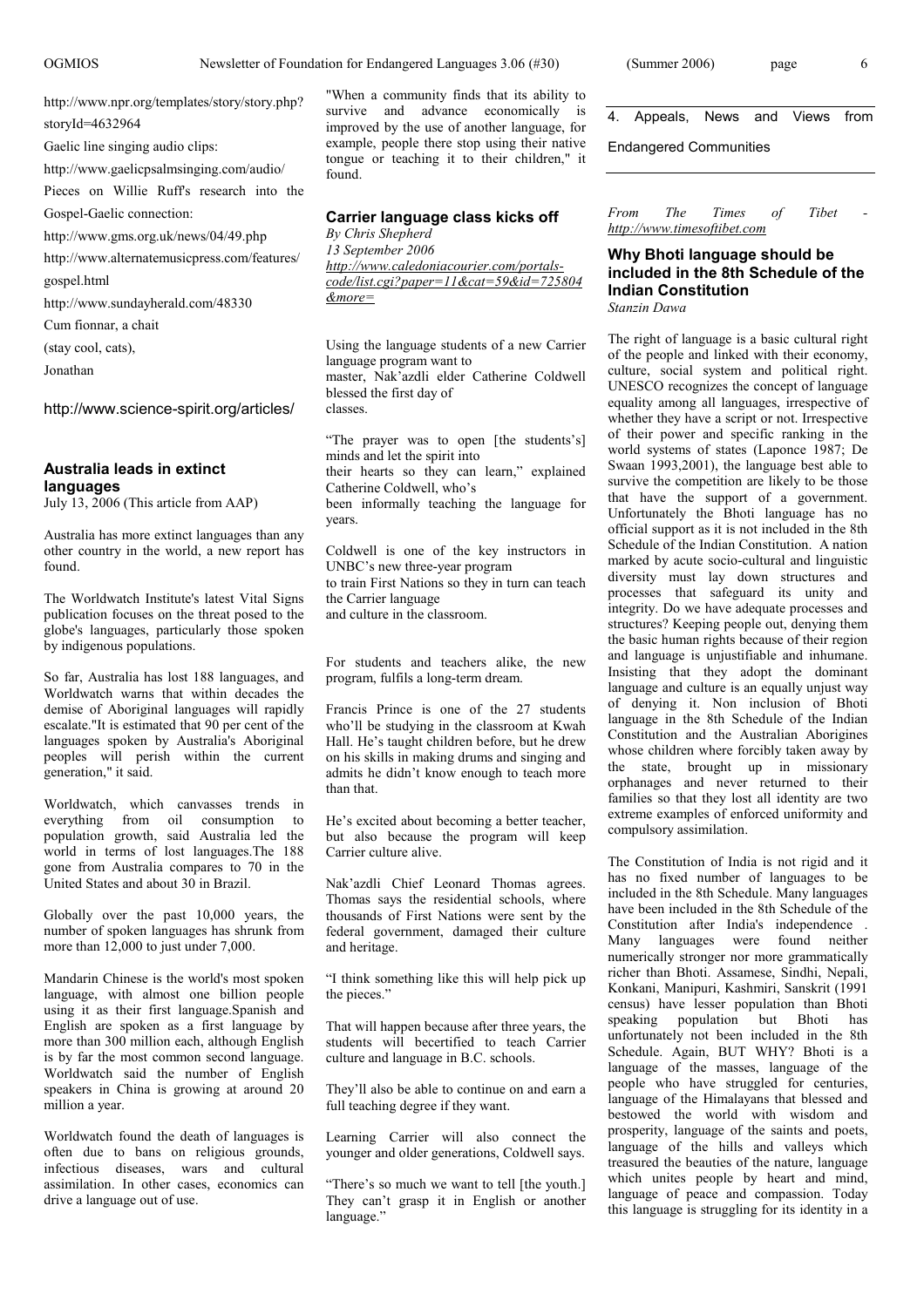http://www.npr.org/templates/story/story.php? storyId=4632964

Gaelic line singing audio clips:

http://www.gaelicpsalmsinging.com/audio/

Pieces on Willie Ruff's research into the

Gospel-Gaelic connection:

http://www.gms.org.uk/news/04/49.php

http://www.alternatemusicpress.com/features/ gospel.html

http://www.sundayherald.com/48330

Cum fionnar, a chait

(stay cool, cats),

Jonathan

http://www.science-spirit.org/articles/

#### **Australia leads in extinct languages**

July 13, 2006 (This article from AAP)

Australia has more extinct languages than any other country in the world, a new report has found.

The Worldwatch Institute's latest Vital Signs publication focuses on the threat posed to the globe's languages, particularly those spoken by indigenous populations.

So far, Australia has lost 188 languages, and Worldwatch warns that within decades the demise of Aboriginal languages will rapidly escalate."It is estimated that 90 per cent of the languages spoken by Australia's Aboriginal peoples will perish within the current generation," it said.

Worldwatch, which canvasses trends in everything from oil consumption to population growth, said Australia led the world in terms of lost languages.The 188 gone from Australia compares to 70 in the United States and about 30 in Brazil.

Globally over the past 10,000 years, the number of spoken languages has shrunk from more than  $12,000$  to just under  $7,000$ .

Mandarin Chinese is the world's most spoken language, with almost one billion people using it as their first language.Spanish and English are spoken as a first language by more than 300 million each, although English is by far the most common second language. Worldwatch said the number of English speakers in China is growing at around 20 million a year.

Worldwatch found the death of languages is often due to bans on religious grounds, infectious diseases, wars and cultural assimilation. In other cases, economics can drive a language out of use.

"When a community finds that its ability to survive and advance economically is improved by the use of another language, for example, people there stop using their native tongue or teaching it to their children," it found.

#### **Carrier language class kicks off**

*By Chris Shepherd 13 September 2006 http://www.caledoniacourier.com/portalscode/list.cgi?paper=11&cat=59&id=725804 &more=*

Using the language students of a new Carrier language program want to master, Nak'azdli elder Catherine Coldwell blessed the first day of classes.

"The prayer was to open [the students's] minds and let the spirit into their hearts so they can learn,"explained Catherine Coldwell, who's been informally teaching the language for years.

Coldwell is one of the key instructors in UNBC's new three-year program to train First Nations so they in turn can teach the Carrier language and culture in the classroom.

For students and teachers alike, the new program, fulfils a long-term dream.

Francis Prince is one of the 27 students who'll be studying in the classroom at Kwah Hall. He's taught children before, but he drew on his skills in making drums and singing and admits he didn't know enough to teach more than that.

He's excited about becoming a better teacher, but also because the program will keep Carrier culture alive.

Nak'azdli Chief Leonard Thomas agrees. Thomas says the residential schools, where thousands of First Nations were sent by the federal government, damaged their culture and heritage.

"I think something like this will help pick up the pieces."

That will happen because after three years, the students will becertified to teach Carrier culture and language in B.C. schools.

They'll also be able to continue on and earn a full teaching degree if they want.

Learning Carrier will also connect the younger and older generations, Coldwell says.

"There's so much we want to tell [the youth.] They can't grasp it in English or another language."

| (Summer 2006)<br>page |  |
|-----------------------|--|
|-----------------------|--|

4. Appeals, News and Views from Endangered Communities

 $From$  The Times of Tibet *http://www.timesoftibet.com*

#### **Why Bhoti language should be included in the 8th Schedule of the Indian Constitution** *Stanzin Dawa*

The right of language is a basic cultural right of the people and linked with their economy, culture, social system and political right. UNESCO recognizes the concept of language equality among all languages, irrespective of whether they have a script or not. Irrespective of their power and specific ranking in the world systems of states (Laponce 1987; De Swaan 1993,2001), the language best able to survive the competition are likely to be those that have the support of a government. Unfortunately the Bhoti language has no official support as it is not included in the 8th Schedule of the Indian Constitution. A nation marked by acute socio-cultural and linguistic diversity must lay down structures and processes that safeguard its unity and integrity. Do we have adequate processes and structures? Keeping people out, denying them the basic human rights because of their region and language is unjustifiable and inhumane. Insisting that they adopt the dominant language and culture is an equally unjust way of denying it. Non inclusion of Bhoti language in the 8th Schedule of the Indian Constitution and the Australian Aborigines whose children where forcibly taken away by the state, brought up in missionary orphanages and never returned to their families so that they lost all identity are two extreme examples of enforced uniformity and compulsory assimilation.

The Constitution of India is not rigid and it has no fixed number of languages to be included in the 8th Schedule. Many languages have been included in the 8th Schedule of the Constitution after India's independence . Many languages were found neither numerically stronger nor more grammatically richer than Bhoti. Assamese, Sindhi, Nepali, Konkani, Manipuri, Kashmiri, Sanskrit (1991 census) have lesser population than Bhoti speaking population but Bhoti has unfortunately not been included in the 8th Schedule. Again, BUT WHY? Bhoti is a language of the masses, language of the people who have struggled for centuries, language of the Himalayans that blessed and bestowed the world with wisdom and prosperity, language of the saints and poets, language of the hills and valleys which treasured the beauties of the nature, language which unites people by heart and mind, language of peace and compassion. Today this language is struggling for its identity in a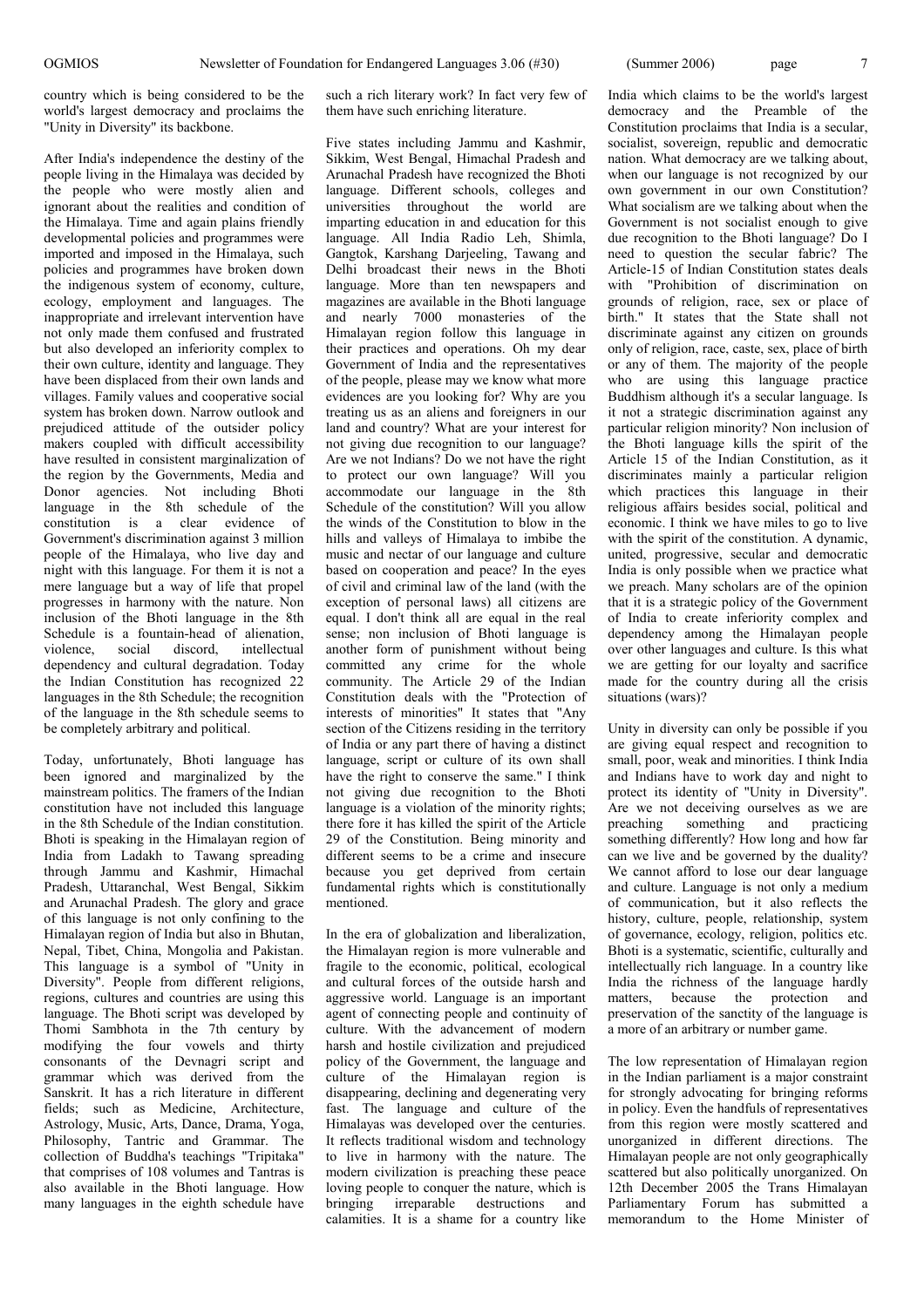After India's independence the destiny of the people living in the Himalaya was decided by the people who were mostly alien and ignorant about the realities and condition of the Himalaya. Time and again plains friendly developmental policies and programmes were imported and imposed in the Himalaya, such policies and programmes have broken down the indigenous system of economy, culture, ecology, employment and languages. The inappropriate and irrelevant intervention have not only made them confused and frustrated but also developed an inferiority complex to their own culture, identity and language. They have been displaced from their own lands and villages. Family values and cooperative social system has broken down. Narrow outlook and prejudiced attitude of the outsider policy makers coupled with difficult accessibility have resulted in consistent marginalization of the region by the Governments, Media and Donor agencies. Not including Bhoti language in the 8th schedule of the constitution is a clear evidence of Government's discrimination against 3 million people of the Himalaya, who live day and night with this language. For them it is not a mere language but a way of life that propel progresses in harmony with the nature. Non inclusion of the Bhoti language in the 8th Schedule is a fountain-head of alienation violence, social discord, intellectual dependency and cultural degradation. Today the Indian Constitution has recognized 22 languages in the 8th Schedule; the recognition of the language in the 8th schedule seems to be completely arbitrary and political.

Today, unfortunately, Bhoti language has been ignored and marginalized by the mainstream politics. The framers of the Indian constitution have not included this language in the 8th Schedule of the Indian constitution. Bhoti is speaking in the Himalayan region of India from Ladakh to Tawang spreading through Jammu and Kashmir, Himachal Pradesh, Uttaranchal, West Bengal, Sikkim and Arunachal Pradesh. The glory and grace of this language is not only confining to the Himalayan region of India but also in Bhutan, Nepal, Tibet, China, Mongolia and Pakistan. This language is a symbol of "Unity in Diversity". People from different religions, regions, cultures and countries are using this language. The Bhoti script was developed by Thomi Sambhota in the 7th century by modifying the four vowels and thirty consonants of the Devnagri script and grammar which was derived from the Sanskrit. It has a rich literature in different fields; such as Medicine, Architecture, Astrology, Music, Arts, Dance, Drama, Yoga, Philosophy, Tantric and Grammar. The collection of Buddha's teachings "Tripitaka" that comprises of 108 volumes and Tantras is also available in the Bhoti language. How many languages in the eighth schedule have

such a rich literary work? In fact very few of them have such enriching literature.

Five states including Jammu and Kashmir, Sikkim, West Bengal, Himachal Pradesh and Arunachal Pradesh have recognized the Bhoti language. Different schools, colleges and universities throughout the world are imparting education in and education for this language. All India Radio Leh, Shimla, Gangtok, Karshang Darjeeling, Tawang and Delhi broadcast their news in the Bhoti language. More than ten newspapers and magazines are available in the Bhoti language and nearly 7000 monasteries of the Himalayan region follow this language in their practices and operations. Oh my dear Government of India and the representatives of the people, please may we know what more evidences are you looking for? Why are you treating us as an aliens and foreigners in our land and country? What are your interest for not giving due recognition to our language? Are we not Indians? Do we not have the right to protect our own language? Will you accommodate our language in the 8th Schedule of the constitution? Will you allow the winds of the Constitution to blow in the hills and valleys of Himalaya to imbibe the music and nectar of our language and culture based on cooperation and peace? In the eyes of civil and criminal law of the land (with the exception of personal laws) all citizens are equal. I don't think all are equal in the real sense; non inclusion of Bhoti language is another form of punishment without being committed any crime for the whole community. The Article 29 of the Indian Constitution deals with the "Protection of interests of minorities" It states that "Any section of the Citizens residing in the territory of India or any part there of having a distinct language, script or culture of its own shall have the right to conserve the same." I think not giving due recognition to the Bhoti language is a violation of the minority rights: there fore it has killed the spirit of the Article 29 of the Constitution. Being minority and different seems to be a crime and insecure because you get deprived from certain fundamental rights which is constitutionally mentioned.

In the era of globalization and liberalization, the Himalayan region is more vulnerable and fragile to the economic, political, ecological and cultural forces of the outside harsh and aggressive world. Language is an important agent of connecting people and continuity of culture. With the advancement of modern harsh and hostile civilization and prejudiced policy of the Government, the language and culture of the Himalayan region is disappearing, declining and degenerating very fast. The language and culture of the Himalayas was developed over the centuries. It reflects traditional wisdom and technology to live in harmony with the nature. The modern civilization is preaching these peace loving people to conquer the nature, which is bringing irreparable destructions and calamities. It is a shame for a country like

India which claims to be the world's largest democracy and the Preamble of the Constitution proclaims that India is a secular, socialist, sovereign, republic and democratic nation. What democracy are we talking about, when our language is not recognized by our own government in our own Constitution? What socialism are we talking about when the Government is not socialist enough to give due recognition to the Bhoti language? Do I need to question the secular fabric? The Article-15 of Indian Constitution states deals with "Prohibition of discrimination on grounds of religion, race, sex or place of birth." It states that the State shall not discriminate against any citizen on grounds only of religion, race, caste, sex, place of birth or any of them. The majority of the people who are using this language practice Buddhism although it's a secular language. Is it not a strategic discrimination against any particular religion minority? Non inclusion of the Bhoti language kills the spirit of the Article 15 of the Indian Constitution, as it discriminates mainly a particular religion which practices this language in their religious affairs besides social, political and economic. I think we have miles to go to live with the spirit of the constitution. A dynamic, united, progressive, secular and democratic India is only possible when we practice what we preach. Many scholars are of the opinion that it is a strategic policy of the Government of India to create inferiority complex and dependency among the Himalayan people over other languages and culture. Is this what we are getting for our loyalty and sacrifice made for the country during all the crisis situations (wars)?

Unity in diversity can only be possible if you are giving equal respect and recognition to small, poor, weak and minorities. I think India and Indians have to work day and night to protect its identity of "Unity in Diversity". Are we not deceiving ourselves as we are preaching something and practicing something differently? How long and how far can we live and be governed by the duality? We cannot afford to lose our dear language and culture. Language is not only a medium of communication, but it also reflects the history, culture, people, relationship, system of governance, ecology, religion, politics etc. Bhoti is a systematic, scientific, culturally and intellectually rich language. In a country like India the richness of the language hardly matters, because the protection and preservation of the sanctity of the language is a more of an arbitrary or number game.

The low representation of Himalayan region in the Indian parliament is a major constraint for strongly advocating for bringing reforms in policy. Even the handfuls of representatives from this region were mostly scattered and unorganized in different directions. The Himalayan people are not only geographically scattered but also politically unorganized. On 12th December 2005 the Trans Himalayan Parliamentary Forum has submitted a memorandum to the Home Minister of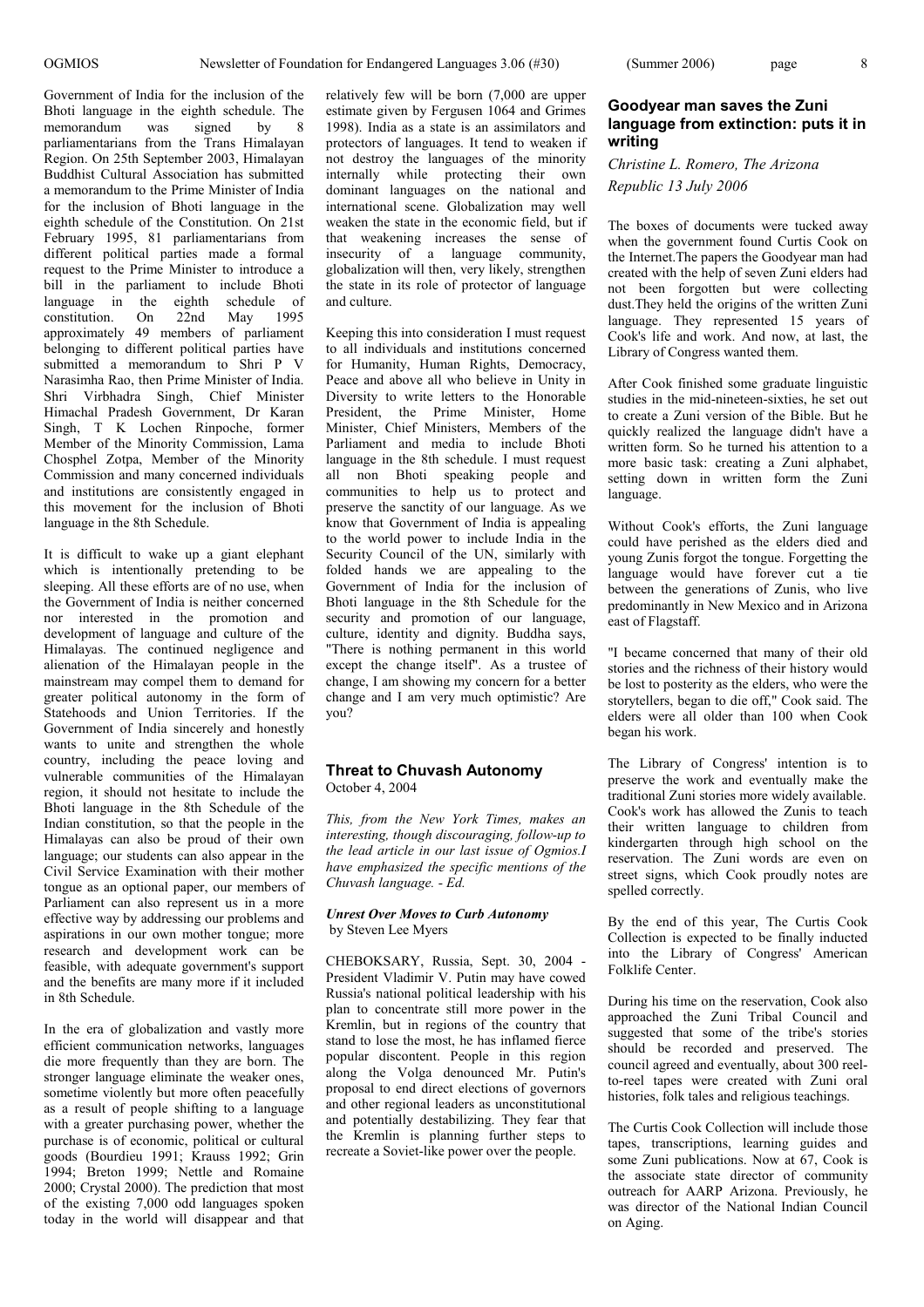Government of India for the inclusion of the Bhoti language in the eighth schedule. The memorandum was signed by parliamentarians from the Trans Himalayan Region. On 25th September 2003, Himalayan Buddhist Cultural Association has submitted a memorandum to the Prime Minister of India for the inclusion of Bhoti language in the eighth schedule of the Constitution. On 21st February 1995, 81 parliamentarians from different political parties made a formal request to the Prime Minister to introduce a bill in the parliament to include Bhoti language in the eighth schedule of constitution. On 22nd May 1995 constitution. On approximately 49 members of parliament belonging to different political parties have submitted a memorandum to Shri P V Narasimha Rao, then Prime Minister of India. Shri Virbhadra Singh, Chief Minister Himachal Pradesh Government, Dr Karan Singh, T K Lochen Rinpoche, former Member of the Minority Commission, Lama Chosphel Zotpa, Member of the Minority Commission and many concerned individuals and institutions are consistently engaged in this movement for the inclusion of Bhoti language in the 8th Schedule.

It is difficult to wake up a giant elephant which is intentionally pretending to be sleeping. All these efforts are of no use, when the Government of India is neither concerned nor interested in the promotion and development of language and culture of the Himalayas. The continued negligence and alienation of the Himalayan people in the mainstream may compel them to demand for greater political autonomy in the form of Statehoods and Union Territories. If the Government of India sincerely and honestly wants to unite and strengthen the whole country, including the peace loving and vulnerable communities of the Himalayan region, it should not hesitate to include the Bhoti language in the 8th Schedule of the Indian constitution, so that the people in the Himalayas can also be proud of their own language; our students can also appear in the Civil Service Examination with their mother tongue as an optional paper, our members of Parliament can also represent us in a more effective way by addressing our problems and aspirations in our own mother tongue; more research and development work can be feasible, with adequate government's support and the benefits are many more if it included in 8th Schedule.

In the era of globalization and vastly more efficient communication networks, languages die more frequently than they are born. The stronger language eliminate the weaker ones, sometime violently but more often peacefully as a result of people shifting to a language with a greater purchasing power, whether the purchase is of economic, political or cultural goods (Bourdieu 1991; Krauss 1992; Grin 1994; Breton 1999; Nettle and Romaine 2000; Crystal 2000). The prediction that most of the existing 7,000 odd languages spoken today in the world will disappear and that

relatively few will be born (7,000 are upper estimate given by Fergusen 1064 and Grimes 1998). India as a state is an assimilators and protectors of languages. It tend to weaken if not destroy the languages of the minority internally while protecting their own dominant languages on the national and international scene. Globalization may well weaken the state in the economic field, but if that weakening increases the sense of insecurity of a language community, globalization will then, very likely, strengthen the state in its role of protector of language and culture.

Keeping this into consideration I must request to all individuals and institutions concerned for Humanity, Human Rights, Democracy, Peace and above all who believe in Unity in Diversity to write letters to the Honorable President, the Prime Minister, Home Minister, Chief Ministers, Members of the Parliament and media to include Bhoti language in the 8th schedule. I must request all non Bhoti speaking people and communities to help us to protect and preserve the sanctity of our language. As we know that Government of India is appealing to the world power to include India in the Security Council of the UN, similarly with folded hands we are appealing to the Government of India for the inclusion of Bhoti language in the 8th Schedule for the security and promotion of our language, culture, identity and dignity. Buddha says, "There is nothing permanent in this world except the change itself". As a trustee of change, I am showing my concern for a better change and I am very much optimistic? Are you?

#### **Threat to Chuvash Autonomy** October 4, 2004

*This, from the New York Times, makes an interesting, though discouraging, follow-up to the lead article in our last issue of Ogmios.I have emphasized the specific mentions of the Chuvash language. - Ed.*

#### *Unrest Over Moves to Curb Autonomy* by Steven Lee Myers

CHEBOKSARY, Russia, Sept. 30, 2004 - President Vladimir V. Putin may have cowed Russia's national political leadership with his plan to concentrate still more power in the Kremlin, but in regions of the country that stand to lose the most, he has inflamed fierce popular discontent. People in this region along the Volga denounced Mr. Putin's proposal to end direct elections of governors and other regional leaders as unconstitutional and potentially destabilizing. They fear that the Kremlin is planning further steps to recreate a Soviet-like power over the people.

#### **Goodyear man saves the Zuni language from extinction: puts it in writing**

*Christine L. Romero, The Arizona*

*Republic 13 July 2006*

The boxes of documents were tucked away when the government found Curtis Cook on the Internet.The papers the Goodyear man had created with the help of seven Zuni elders had not been forgotten but were collecting dust.They held the origins of the written Zuni language. They represented 15 years of Cook's life and work. And now, at last, the Library of Congress wanted them.

After Cook finished some graduate linguistic studies in the mid-nineteen-sixties, he set out to create a Zuni version of the Bible. But he quickly realized the language didn't have a written form. So he turned his attention to a more basic task: creating a Zuni alphabet, setting down in written form the Zuni language.

Without Cook's efforts, the Zuni language could have perished as the elders died and young Zunis forgot the tongue. Forgetting the language would have forever cut a tie between the generations of Zunis, who live predominantly in New Mexico and in Arizona east of Flagstaff.

"I became concerned that many of their old stories and the richness of their history would be lost to posterity as the elders, who were the storytellers, began to die off," Cook said. The elders were all older than 100 when Cook began his work.

The Library of Congress' intention is to preserve the work and eventually make the traditional Zuni stories more widely available. Cook's work has allowed the Zunis to teach their written language to children from kindergarten through high school on the reservation. The Zuni words are even on street signs, which Cook proudly notes are spelled correctly.

By the end of this year, The Curtis Cook Collection is expected to be finally inducted into the Library of Congress' American Folklife Center.

During his time on the reservation, Cook also approached the Zuni Tribal Council and suggested that some of the tribe's stories should be recorded and preserved. The council agreed and eventually, about 300 reelto-reel tapes were created with Zuni oral histories, folk tales and religious teachings.

The Curtis Cook Collection will include those tapes, transcriptions, learning guides and some Zuni publications. Now at 67, Cook is the associate state director of community outreach for AARP Arizona. Previously, he was director of the National Indian Council on Aging.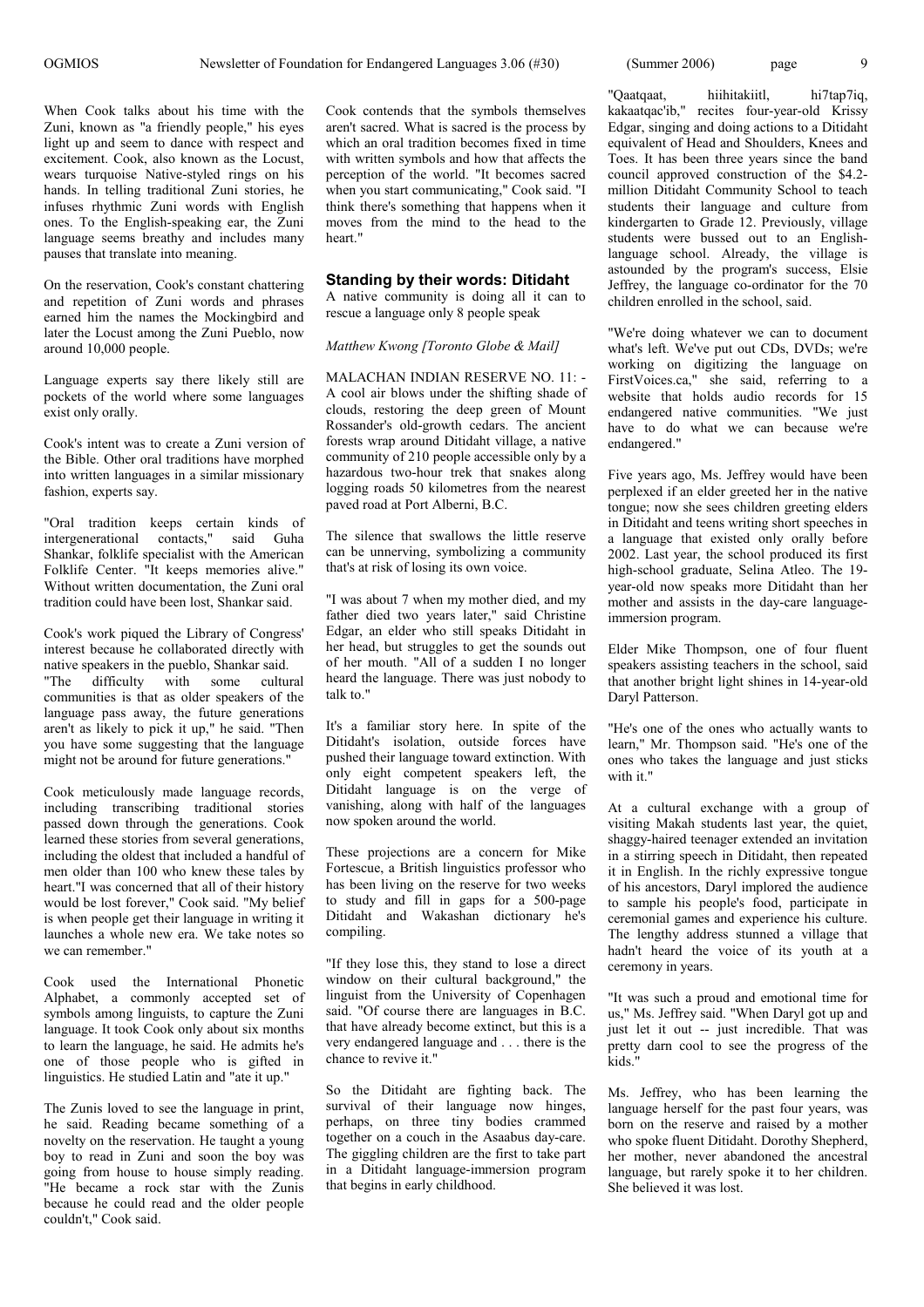When Cook talks about his time with the Zuni, known as "a friendly people," his eyes light up and seem to dance with respect and excitement. Cook, also known as the Locust, wears turquoise Native-styled rings on his hands. In telling traditional Zuni stories, he infuses rhythmic Zuni words with English ones. To the English-speaking ear, the Zuni language seems breathy and includes many pauses that translate into meaning.

On the reservation, Cook's constant chattering and repetition of Zuni words and phrases earned him the names the Mockingbird and later the Locust among the Zuni Pueblo, now around 10,000 people.

Language experts say there likely still are pockets of the world where some languages exist only orally.

Cook's intent was to create a Zuni version of the Bible. Other oral traditions have morphed into written languages in a similar missionary fashion, experts say.

"Oral tradition keeps certain kinds of intergenerational contacts," said Guha Shankar, folklife specialist with the American Folklife Center. "It keeps memories alive." Without written documentation, the Zuni oral tradition could have been lost, Shankar said.

Cook's work piqued the Library of Congress' interest because he collaborated directly with native speakers in the pueblo, Shankar said.<br>"The difficulty with some culture some cultural communities is that as older speakers of the language pass away, the future generations aren't as likely to pick it up," he said. "Then you have some suggesting that the language might not be around for future generations."

Cook meticulously made language records, including transcribing traditional stories passed down through the generations. Cook learned these stories from several generations, including the oldest that included a handful of men older than 100 who knew these tales by heart."I was concerned that all of their history would be lost forever," Cook said. "My belief is when people get their language in writing it launches a whole new era. We take notes so we can remember."

Cook used the International Phonetic Alphabet, a commonly accepted set of symbols among linguists, to capture the Zuni language. It took Cook only about six months to learn the language, he said. He admits he's one of those people who is gifted in linguistics. He studied Latin and "ate it up."

The Zunis loved to see the language in print, he said. Reading became something of a novelty on the reservation. He taught a young boy to read in Zuni and soon the boy was going from house to house simply reading. "He became a rock star with the Zunis because he could read and the older people couldn't," Cook said.

Cook contends that the symbols themselves aren't sacred. What is sacred is the process by which an oral tradition becomes fixed in time with written symbols and how that affects the perception of the world. "It becomes sacred when you start communicating," Cook said. "I think there's something that happens when it moves from the mind to the head to the heart<sup>"</sup>

#### **Standing by their words: Ditidaht**

A native community is doing all it can to rescue a language only 8 people speak

*Matthew Kwong [Toronto Globe & Mail]*

MALACHAN INDIAN RESERVE NO. 11: - A cool air blows under the shifting shade of clouds, restoring the deep green of Mount Rossander's old-growth cedars. The ancient forests wrap around Ditidaht village, a native community of 210 people accessible only by a hazardous two-hour trek that snakes along logging roads 50 kilometres from the nearest paved road at Port Alberni, B.C.

The silence that swallows the little reserve can be unnerving, symbolizing a community that's at risk of losing its own voice.

"I was about 7 when my mother died, and my father died two years later," said Christine Edgar, an elder who still speaks Ditidaht in her head, but struggles to get the sounds out of her mouth. "All of a sudden I no longer heard the language. There was just nobody to talk to."

It's a familiar story here. In spite of the Ditidaht's isolation, outside forces have pushed their language toward extinction. With only eight competent speakers left, the Ditidaht language is on the verge of vanishing, along with half of the languages now spoken around the world.

These projections are a concern for Mike Fortescue, a British linguistics professor who has been living on the reserve for two weeks to study and fill in gaps for a 500-page Ditidaht and Wakashan dictionary he's compiling.

"If they lose this, they stand to lose a direct window on their cultural background." the linguist from the University of Copenhagen said. "Of course there are languages in B.C. that have already become extinct, but this is a very endangered language and . . . there is the chance to revive it."

So the Ditidaht are fighting back. The survival of their language now hinges, perhaps, on three tiny bodies crammed together on a couch in the Asaabus day-care. The giggling children are the first to take part in a Ditidaht language-immersion program that begins in early childhood.

"Qaatqaat, hiihitakiitl, hi7tap7iq, kakaatqac'ib," recites four-year-old Krissy Edgar, singing and doing actions to a Ditidaht equivalent of Head and Shoulders, Knees and Toes. It has been three years since the band council approved construction of the \$4.2 million Ditidaht Community School to teach students their language and culture from kindergarten to Grade 12. Previously, village students were bussed out to an Englishlanguage school. Already, the village is astounded by the program's success, Elsie Jeffrey, the language co-ordinator for the 70 children enrolled in the school, said.

"We're doing whatever we can to document what's left. We've put out CDs, DVDs; we're working on digitizing the language on FirstVoices.ca," she said, referring to a website that holds audio records for 15 endangered native communities. "We just have to do what we can because we're endangered."

Five years ago, Ms. Jeffrey would have been perplexed if an elder greeted her in the native tongue; now she sees children greeting elders in Ditidaht and teens writing short speeches in a language that existed only orally before 2002. Last year, the school produced its first high-school graduate, Selina Atleo. The 19year-old now speaks more Ditidaht than her mother and assists in the day-care languageimmersion program.

Elder Mike Thompson, one of four fluent speakers assisting teachers in the school, said that another bright light shines in 14-year-old Daryl Patterson.

"He's one of the ones who actually wants to learn," Mr. Thompson said. "He's one of the ones who takes the language and just sticks with it."

At a cultural exchange with a group of visiting Makah students last year, the quiet, shaggy-haired teenager extended an invitation in a stirring speech in Ditidaht, then repeated it in English. In the richly expressive tongue of his ancestors, Daryl implored the audience to sample his people's food, participate in ceremonial games and experience his culture. The lengthy address stunned a village that hadn't heard the voice of its youth at a ceremony in years.

"It was such a proud and emotional time for us," Ms. Jeffrey said. "When Daryl got up and just let it out -- just incredible. That was pretty darn cool to see the progress of the kids."

Ms. Jeffrey, who has been learning the language herself for the past four years, was born on the reserve and raised by a mother who spoke fluent Ditidaht. Dorothy Shepherd, her mother, never abandoned the ancestral language, but rarely spoke it to her children. She believed it was lost.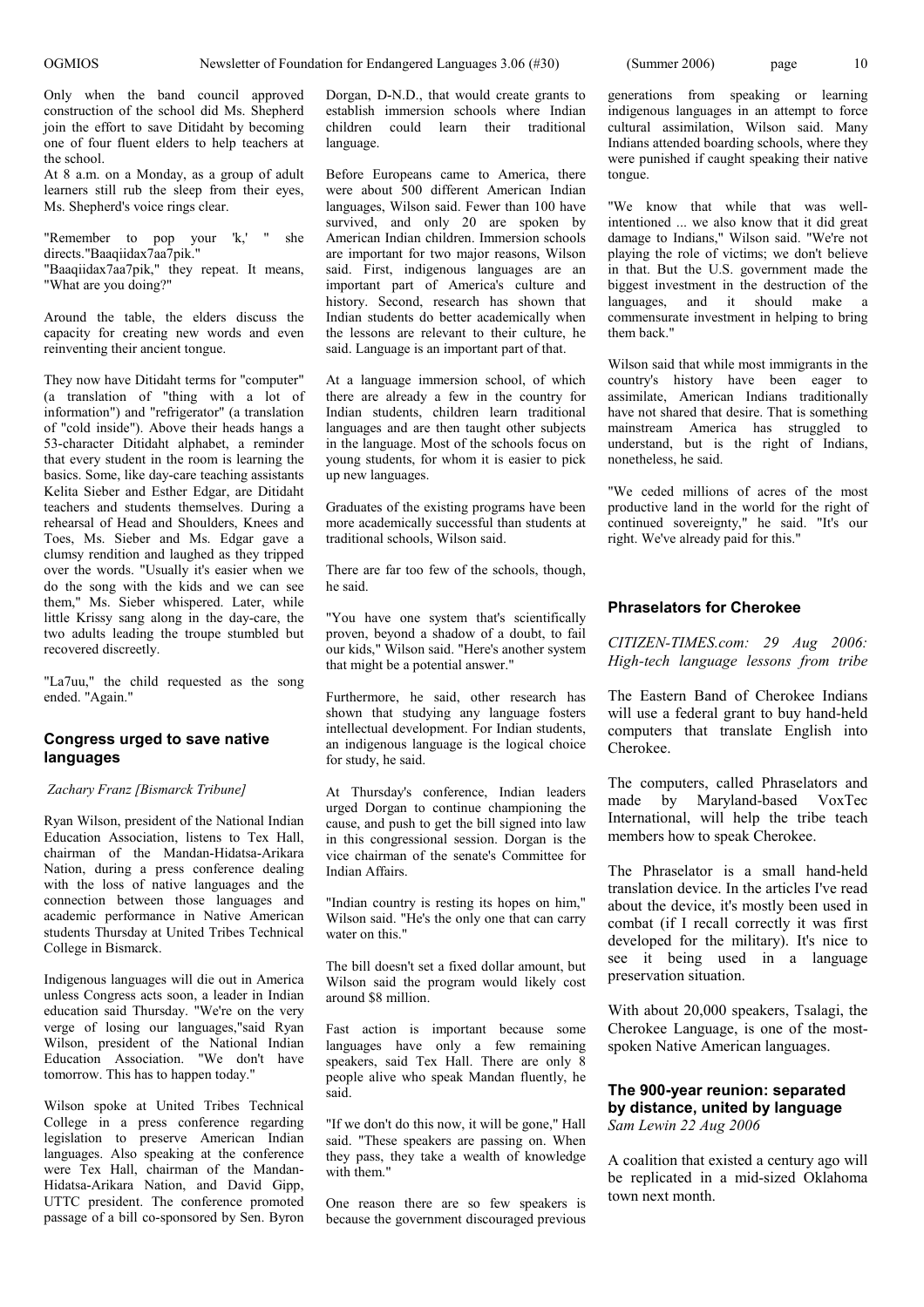Only when the band council approved construction of the school did Ms. Shepherd join the effort to save Ditidaht by becoming one of four fluent elders to help teachers at the school.

At 8 a.m. on a Monday, as a group of adult learners still rub the sleep from their eyes, Ms. Shepherd's voice rings clear.

"Remember to pop your 'k,' " she directs."Baaqiidax7aa7pik."

"Baaqiidax7aa7pik," they repeat. It means, "What are you doing?"

Around the table, the elders discuss the capacity for creating new words and even reinventing their ancient tongue.

They now have Ditidaht terms for "computer" (a translation of "thing with a lot of information") and "refrigerator" (a translation of "cold inside"). Above their heads hangs a 53-character Ditidaht alphabet, a reminder that every student in the room is learning the basics. Some, like day-care teaching assistants Kelita Sieber and Esther Edgar, are Ditidaht teachers and students themselves. During a rehearsal of Head and Shoulders, Knees and Toes, Ms. Sieber and Ms. Edgar gave a clumsy rendition and laughed as they tripped over the words. "Usually it's easier when we do the song with the kids and we can see them," Ms. Sieber whispered. Later, while little Krissy sang along in the day-care, the two adults leading the troupe stumbled but recovered discreetly.

"La7uu," the child requested as the song ended. "Again."

#### **Congress urged to save native languages**

#### *Zachary Franz [Bismarck Tribune]*

Ryan Wilson, president of the National Indian Education Association, listens to Tex Hall, chairman of the Mandan-Hidatsa-Arikara Nation, during a press conference dealing with the loss of native languages and the connection between those languages and academic performance in Native American students Thursday at United Tribes Technical College in Bismarck.

Indigenous languages will die out in America unless Congress acts soon, a leader in Indian education said Thursday. "We're on the very verge of losing our languages,"said Ryan Wilson, president of the National Indian Education Association. "We don't have tomorrow. This has to happen today."

Wilson spoke at United Tribes Technical College in a press conference regarding legislation to preserve American Indian languages. Also speaking at the conference were Tex Hall, chairman of the Mandan-Hidatsa-Arikara Nation, and David Gipp, UTTC president. The conference promoted passage of a bill co-sponsored by Sen. Byron

Dorgan, D-N.D., that would create grants to establish immersion schools where Indian children could learn their traditional language.

Before Europeans came to America, there were about 500 different American Indian languages, Wilson said. Fewer than 100 have survived, and only 20 are spoken by American Indian children. Immersion schools are important for two major reasons, Wilson said. First, indigenous languages are an important part of America's culture and history. Second, research has shown that Indian students do better academically when the lessons are relevant to their culture, he said. Language is an important part of that.

At a language immersion school, of which there are already a few in the country for Indian students, children learn traditional languages and are then taught other subjects in the language. Most of the schools focus on young students, for whom it is easier to pick up new languages.

Graduates of the existing programs have been more academically successful than students at traditional schools, Wilson said.

There are far too few of the schools, though, he said.

"You have one system that's scientifically proven, beyond a shadow of a doubt, to fail our kids," Wilson said. "Here's another system that might be a potential answer."

Furthermore, he said, other research has shown that studying any language fosters intellectual development. For Indian students, an indigenous language is the logical choice for study, he said.

At Thursday's conference, Indian leaders urged Dorgan to continue championing the cause, and push to get the bill signed into law in this congressional session. Dorgan is the vice chairman of the senate's Committee for Indian Affairs.

"Indian country is resting its hopes on him," Wilson said. "He's the only one that can carry water on this."

The bill doesn't set a fixed dollar amount, but Wilson said the program would likely cost around \$8 million.

Fast action is important because some languages have only a few remaining speakers, said Tex Hall. There are only 8 people alive who speak Mandan fluently, he said.

"If we don't do this now, it will be gone," Hall said. "These speakers are passing on. When they pass, they take a wealth of knowledge with them."

One reason there are so few speakers is because the government discouraged previous

generations from speaking or learning indigenous languages in an attempt to force cultural assimilation, Wilson said. Many Indians attended boarding schools, where they were punished if caught speaking their native tongue.

"We know that while that was wellintentioned ... we also know that it did great damage to Indians," Wilson said. "We're not playing the role of victims; we don't believe in that. But the U.S. government made the biggest investment in the destruction of the languages, and it should make a commensurate investment in helping to bring them back."

Wilson said that while most immigrants in the country's history have been eager to assimilate, American Indians traditionally have not shared that desire. That is something mainstream America has struggled to understand, but is the right of Indians, nonetheless, he said.

"We ceded millions of acres of the most productive land in the world for the right of continued sovereignty," he said. "It's our right. We've already paid for this."

#### **Phraselators for Cherokee**

*CITIZEN-TIMES.com: 29 Aug 2006: High-tech language lessons from tribe*

The Eastern Band of Cherokee Indians will use a federal grant to buy hand-held computers that translate English into Cherokee.

The computers, called Phraselators and made by Maryland-based VoxTec International, will help the tribe teach members how to speak Cherokee.

The Phraselator is a small hand-held translation device. In the articles I've read about the device, it's mostly been used in combat (if I recall correctly it was first developed for the military). It's nice to see it being used in a language preservation situation.

With about 20,000 speakers, Tsalagi, the Cherokee Language, is one of the mostspoken Native American languages.

#### **The 900-year reunion: separated by distance, united by language** *Sam Lewin 22 Aug 2006*

A coalition that existed a century ago will be replicated in a mid-sized Oklahoma town next month.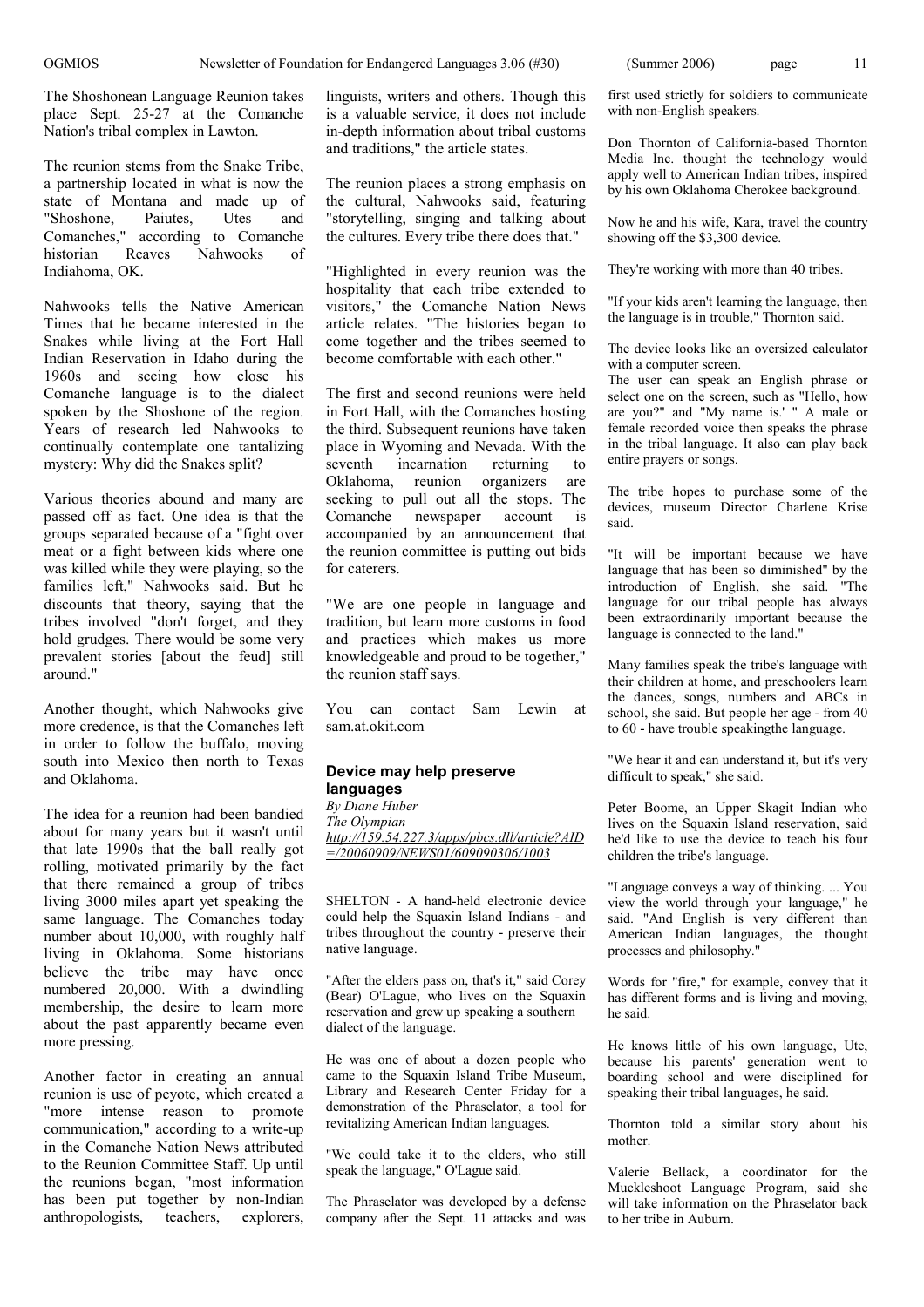The Shoshonean Language Reunion takes place Sept. 25-27 at the Comanche Nation's tribal complex in Lawton.

The reunion stems from the Snake Tribe, a partnership located in what is now the state of Montana and made up of "Shoshone, Paiutes, Utes and<br>Comanches according to Comanche Comanches," according to Comanche Reaves Nahwooks of Indiahoma, OK.

Nahwooks tells the Native American Times that he became interested in the Snakes while living at the Fort Hall Indian Reservation in Idaho during the 1960s and seeing how close his Comanche language is to the dialect spoken by the Shoshone of the region. Years of research led Nahwooks to continually contemplate one tantalizing mystery: Why did the Snakes split?

Various theories abound and many are passed off as fact. One idea is that the groups separated because of a "fight over meat or a fight between kids where one was killed while they were playing, so the families left," Nahwooks said. But he discounts that theory, saying that the tribes involved "don't forget, and they hold grudges. There would be some very prevalent stories [about the feud] still around."

Another thought, which Nahwooks give more credence, is that the Comanches left in order to follow the buffalo, moving south into Mexico then north to Texas and Oklahoma.

The idea for a reunion had been bandied about for many years but it wasn't until that late 1990s that the ball really got rolling, motivated primarily by the fact that there remained a group of tribes living 3000 miles apart yet speaking the same language. The Comanches today number about 10,000, with roughly half living in Oklahoma. Some historians believe the tribe may have once numbered 20,000. With a dwindling membership, the desire to learn more about the past apparently became even more pressing.

Another factor in creating an annual reunion is use of peyote, which created a "more intense reason to promote communication," according to a write-up in the Comanche Nation News attributed to the Reunion Committee Staff. Up until the reunions began, "most information has been put together by non-Indian anthropologists, teachers, explorers, linguists, writers and others. Though this is a valuable service, it does not include in-depth information about tribal customs and traditions," the article states.

The reunion places a strong emphasis on the cultural, Nahwooks said, featuring "storytelling, singing and talking about the cultures. Every tribe there does that."

"Highlighted in every reunion was the hospitality that each tribe extended to visitors," the Comanche Nation News article relates. "The histories began to come together and the tribes seemed to become comfortable with each other."

The first and second reunions were held in Fort Hall, with the Comanches hosting the third. Subsequent reunions have taken place in Wyoming and Nevada. With the seventh incarnation returning to Oklahoma, reunion organizers are seeking to pull out all the stops. The Comanche newspaper account is accompanied by an announcement that the reunion committee is putting out bids for caterers.

"We are one people in language and tradition, but learn more customs in food and practices which makes us more knowledgeable and proud to be together," the reunion staff says.

You can contact Sam Lewin at sam.at.okit.com

#### **Device may help preserve languages**

*By Diane Huber The Olympian http://159.54.227.3/apps/pbcs.dll/article?AID =/20060909/NEWS01/609090306/1003*

SHELTON - A hand-held electronic device could help the Squaxin Island Indians - and tribes throughout the country - preserve their native language.

"After the elders pass on, that's it," said Corey (Bear) O'Lague, who lives on the Squaxin reservation and grew up speaking a southern dialect of the language.

He was one of about a dozen people who came to the Squaxin Island Tribe Museum, Library and Research Center Friday for a demonstration of the Phraselator, a tool for revitalizing American Indian languages.

"We could take it to the elders, who still speak the language," O'Lague said.

The Phraselator was developed by a defense company after the Sept. 11 attacks and was

first used strictly for soldiers to communicate with non-English speakers.

Don Thornton of California-based Thornton Media Inc. thought the technology would apply well to American Indian tribes, inspired by his own Oklahoma Cherokee background.

Now he and his wife, Kara, travel the country showing off the \$3,300 device.

They're working with more than 40 tribes.

"If your kids aren't learning the language, then the language is in trouble," Thornton said.

The device looks like an oversized calculator with a computer screen.

The user can speak an English phrase or select one on the screen, such as "Hello, how are you?" and "My name is.' " A male or female recorded voice then speaks the phrase in the tribal language. It also can play back entire prayers or songs.

The tribe hopes to purchase some of the devices, museum Director Charlene Krise said.

"It will be important because we have language that has been so diminished" by the introduction of English, she said. "The language for our tribal people has always been extraordinarily important because the language is connected to the land."

Many families speak the tribe's language with their children at home, and preschoolers learn the dances, songs, numbers and ABCs in school, she said. But people her age - from 40 to 60 - have trouble speakingthe language.

"We hear it and can understand it, but it's very difficult to speak," she said.

Peter Boome, an Upper Skagit Indian who lives on the Squaxin Island reservation, said he'd like to use the device to teach his four children the tribe's language.

"Language conveys a way of thinking. ... You view the world through your language," he said. "And English is very different than American Indian languages, the thought processes and philosophy."

Words for "fire," for example, convey that it has different forms and is living and moving, he said.

He knows little of his own language, Ute, because his parents' generation went to boarding school and were disciplined for speaking their tribal languages, he said.

Thornton told a similar story about his mother.

Valerie Bellack, a coordinator for the Muckleshoot Language Program, said she will take information on the Phraselator back to her tribe in Auburn.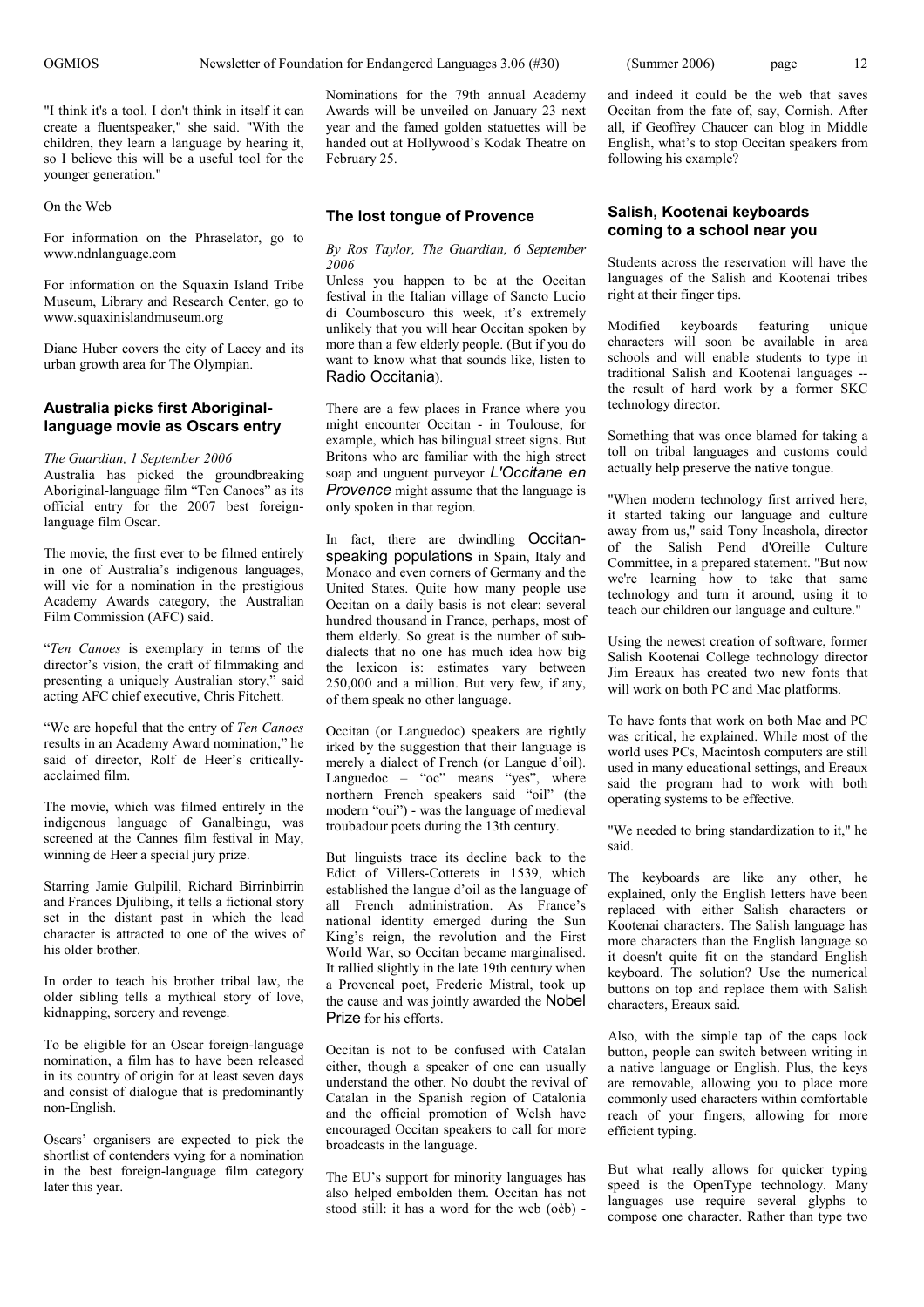"I think it's a tool. I don't think in itself it can create a fluentspeaker," she said. "With the children, they learn a language by hearing it, so I believe this will be a useful tool for the younger generation."

On the Web

For information on the Phraselator, go to www.ndnlanguage.com

For information on the Squaxin Island Tribe Museum, Library and Research Center, go to www.squaxinislandmuseum.org

Diane Huber covers the city of Lacey and its urban growth area for The Olympian.

#### **Australia picks first Aboriginallanguage movie as Oscars entry**

*The Guardian, 1 September 2006* Australia has picked the groundbreaking Aboriginal-language film "Ten Canoes"as its official entry for the 2007 best foreignlanguage film Oscar.

The movie, the first ever to be filmed entirely in one of Australia's indigenous languages, will vie for a nomination in the prestigious Academy Awards category, the Australian Film Commission (AFC) said.

"*Ten Canoes* is exemplary in terms of the director's vision, the craft of filmmaking and presenting a uniquely Australian story," said acting AFC chief executive, Chris Fitchett.

"We are hopeful that the entry of *Ten Canoes* results in an Academy Award nomination,"he said of director, Rolf de Heer's criticallyacclaimed film.

The movie, which was filmed entirely in the indigenous language of Ganalbingu, was screened at the Cannes film festival in May, winning de Heer a special jury prize.

Starring Jamie Gulpilil, Richard Birrinbirrin and Frances Djulibing, it tells a fictional story set in the distant past in which the lead character is attracted to one of the wives of his older brother.

In order to teach his brother tribal law, the older sibling tells a mythical story of love, kidnapping, sorcery and revenge.

To be eligible for an Oscar foreign-language nomination, a film has to have been released in its country of origin for at least seven days and consist of dialogue that is predominantly non-English.

Oscars'organisers are expected to pick the shortlist of contenders vying for a nomination in the best foreign-language film category later this year.

Nominations for the 79th annual Academy Awards will be unveiled on January 23 next year and the famed golden statuettes will be handed out at Hollywood's Kodak Theatre on February 25.

#### **The lost tongue of Provence**

*By Ros Taylor, The Guardian, 6 September 2006*

Unless you happen to be at the Occitan festival in the Italian village of Sancto Lucio di Coumboscuro this week, it's extremely unlikely that you will hear Occitan spoken by more than a few elderly people. (But if you do want to know what that sounds like, listen to Radio Occitania).

There are a few places in France where you might encounter Occitan - in Toulouse, for example, which has bilingual street signs. But Britons who are familiar with the high street soap and unguent purveyor *L'Occitane en Provence* might assume that the language is only spoken in that region.

In fact, there are dwindling Occitanspeaking populations in Spain, Italy and Monaco and even corners of Germany and the United States. Quite how many people use Occitan on a daily basis is not clear: several hundred thousand in France, perhaps, most of them elderly. So great is the number of subdialects that no one has much idea how big the lexicon is: estimates vary between 250,000 and a million. But very few, if any, of them speak no other language.

Occitan (or Languedoc) speakers are rightly irked by the suggestion that their language is merely a dialect of French (or Langue d'oil). Languedoc – "oc" means "yes", where northern French speakers said "oil" (the modern "oui") - was the language of medieval troubadour poets during the 13th century.

But linguists trace its decline back to the Edict of Villers-Cotterets in 1539, which established the langue d'oil as the language of all French administration. As France's national identity emerged during the Sun King's reign, the revolution and the First World War, so Occitan became marginalised. It rallied slightly in the late 19th century when a Provencal poet, Frederic Mistral, took up the cause and was jointly awarded the Nobel Prize for his efforts.

Occitan is not to be confused with Catalan either, though a speaker of one can usually understand the other. No doubt the revival of Catalan in the Spanish region of Catalonia and the official promotion of Welsh have encouraged Occitan speakers to call for more broadcasts in the language.

The EU's support for minority languages has also helped embolden them. Occitan has not stood still: it has a word for the web (oèb) -

and indeed it could be the web that saves Occitan from the fate of, say, Cornish. After all, if Geoffrey Chaucer can blog in Middle English, what's to stop Occitan speakers from following his example?

#### **Salish, Kootenai keyboards coming to a school near you**

Students across the reservation will have the languages of the Salish and Kootenai tribes right at their finger tips.

Modified keyboards featuring unique characters will soon be available in area schools and will enable students to type in traditional Salish and Kootenai languages - the result of hard work by a former SKC technology director.

Something that was once blamed for taking a toll on tribal languages and customs could actually help preserve the native tongue.

"When modern technology first arrived here, it started taking our language and culture away from us," said Tony Incashola, director of the Salish Pend d'Oreille Culture Committee, in a prepared statement. "But now we're learning how to take that same technology and turn it around, using it to teach our children our language and culture."

Using the newest creation of software, former Salish Kootenai College technology director Jim Ereaux has created two new fonts that will work on both PC and Mac platforms.

To have fonts that work on both Mac and PC was critical, he explained. While most of the world uses PCs, Macintosh computers are still used in many educational settings, and Ereaux said the program had to work with both operating systems to be effective.

"We needed to bring standardization to it," he said.

The keyboards are like any other, he explained, only the English letters have been replaced with either Salish characters or Kootenai characters. The Salish language has more characters than the English language so it doesn't quite fit on the standard English keyboard. The solution? Use the numerical buttons on top and replace them with Salish characters, Ereaux said.

Also, with the simple tap of the caps lock button, people can switch between writing in a native language or English. Plus, the keys are removable, allowing you to place more commonly used characters within comfortable reach of your fingers, allowing for more efficient typing.

But what really allows for quicker typing speed is the OpenType technology. Many languages use require several glyphs to compose one character. Rather than type two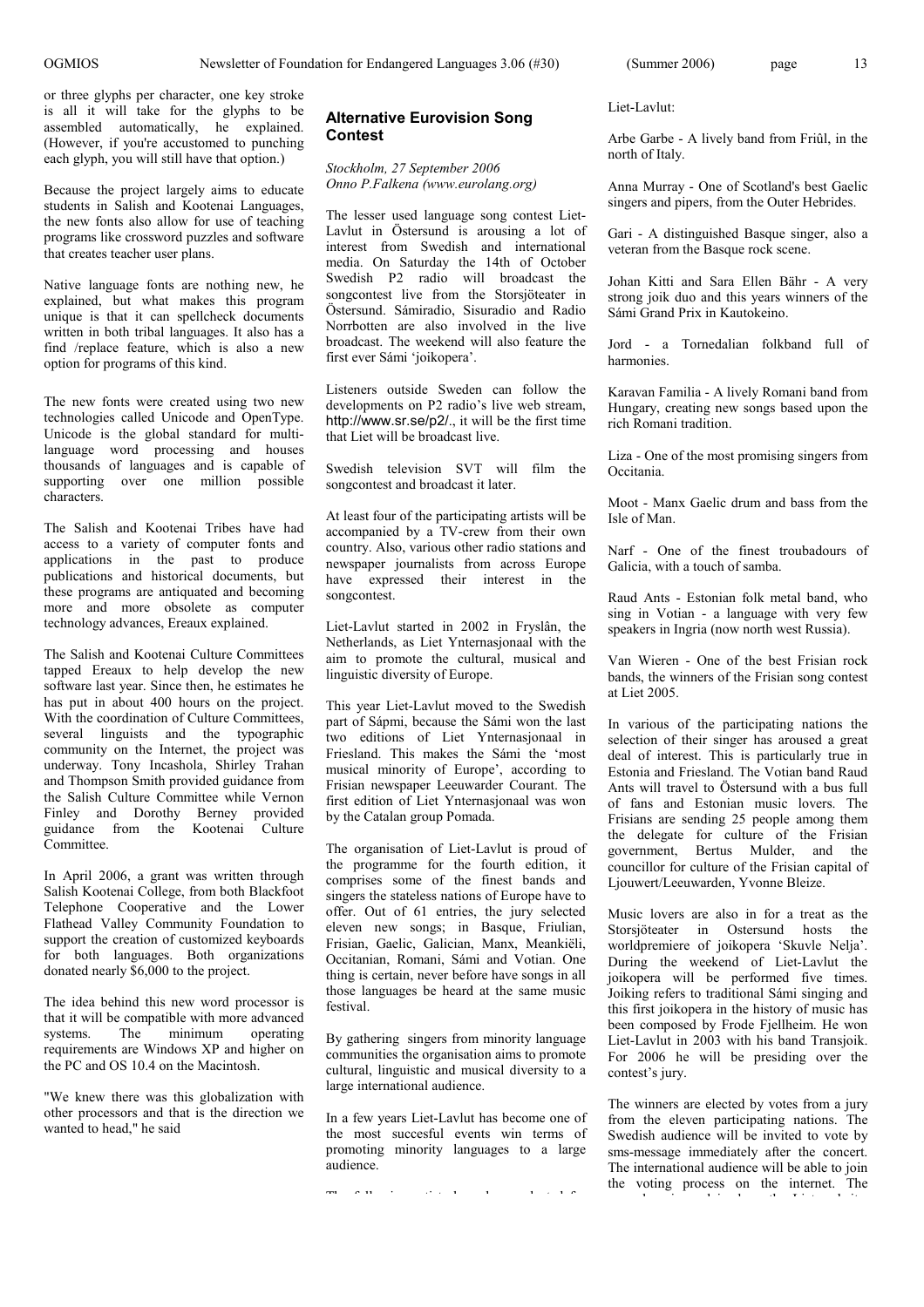or three glyphs per character, one key stroke is all it will take for the glyphs to be assembled automatically, he explained. (However, if you're accustomed to punching each glyph, you will still have that option.)

Because the project largely aims to educate students in Salish and Kootenai Languages, the new fonts also allow for use of teaching programs like crossword puzzles and software that creates teacher user plans.

Native language fonts are nothing new, he explained, but what makes this program unique is that it can spellcheck documents written in both tribal languages. It also has a find /replace feature, which is also a new option for programs of this kind.

The new fonts were created using two new technologies called Unicode and OpenType. Unicode is the global standard for multilanguage word processing and houses thousands of languages and is capable of supporting over one million possible characters.

The Salish and Kootenai Tribes have had access to a variety of computer fonts and applications in the past to produce publications and historical documents, but these programs are antiquated and becoming more and more obsolete as computer technology advances, Ereaux explained.

The Salish and Kootenai Culture Committees tapped Ereaux to help develop the new software last year. Since then, he estimates he has put in about 400 hours on the project. With the coordination of Culture Committees, several linguists and the typographic community on the Internet, the project was underway. Tony Incashola, Shirley Trahan and Thompson Smith provided guidance from the Salish Culture Committee while Vernon Finley and Dorothy Berney provided guidance from the Kootenai Culture Committee.

In April 2006, a grant was written through Salish Kootenai College, from both Blackfoot Telephone Cooperative and the Lower Flathead Valley Community Foundation to support the creation of customized keyboards for both languages. Both organizations donated nearly \$6,000 to the project.

The idea behind this new word processor is that it will be compatible with more advanced<br>systems The minimum operating minimum requirements are Windows XP and higher on the PC and OS 10.4 on the Macintosh.

"We knew there was this globalization with other processors and that is the direction we wanted to head," he said

#### **Alternative Eurovision Song Contest**

*Stockholm, 27 September 2006 Onno P.Falkena (www.eurolang.org)*

The lesser used language song contest Liet-Lavlut in Östersund is arousing a lot of interest from Swedish and international media. On Saturday the 14th of October Swedish P2 radio will broadcast the songcontest live from the Storsjöteater in Östersund. Sámiradio, Sisuradio and Radio Norrbotten are also involved in the live broadcast. The weekend will also feature the first ever Sámi 'joikopera'.

Listeners outside Sweden can follow the developments on P2 radio's live web stream, http://www.sr.se/p2/., it will be the first time that Liet will be broadcast live.

Swedish television SVT will film the songcontest and broadcast it later.

At least four of the participating artists will be accompanied by a TV-crew from their own country. Also, various other radio stations and newspaper journalists from across Europe have expressed their interest in the songcontest.

Liet-Lavlut started in 2002 in Fryslân, the Netherlands, as Liet Ynternasjonaal with the aim to promote the cultural, musical and linguistic diversity of Europe.

This year Liet-Lavlut moved to the Swedish part of Sápmi, because the Sámi won the last two editions of Liet Ynternasjonaal in Friesland. This makes the Sámi the 'most musical minority of Europe', according to Frisian newspaper Leeuwarder Courant. The first edition of Liet Ynternasjonaal was won by the Catalan group Pomada.

The organisation of Liet-Lavlut is proud of the programme for the fourth edition, it comprises some of the finest bands and singers the stateless nations of Europe have to offer. Out of 61 entries, the jury selected eleven new songs; in Basque, Friulian, Frisian, Gaelic, Galician, Manx, Meankiëli, Occitanian, Romani, Sámi and Votian. One thing is certain, never before have songs in all those languages be heard at the same music festival.

By gathering singers from minority language communities the organisation aims to promote cultural, linguistic and musical diversity to a large international audience.

In a few years Liet-Lavlut has become one of the most succesful events win terms of promoting minority languages to a large audience.

 $T$  following artists have been selected for  $\mathbf{f}$ 

#### Liet-Lavlut:

Arbe Garbe - A lively band from Friûl, in the north of Italy.

Anna Murray - One of Scotland's best Gaelic singers and pipers, from the Outer Hebrides.

Gari - A distinguished Basque singer, also a veteran from the Basque rock scene.

Johan Kitti and Sara Ellen Bähr - A very strong joik duo and this years winners of the Sámi Grand Prix in Kautokeino.

Jord - a Tornedalian folkband full of harmonies.

Karavan Familia - A lively Romani band from Hungary, creating new songs based upon the rich Romani tradition.

Liza - One of the most promising singers from Occitania.

Moot - Manx Gaelic drum and bass from the Isle of Man.

Narf - One of the finest troubadours of Galicia, with a touch of samba.

Raud Ants - Estonian folk metal band, who sing in Votian - a language with very few speakers in Ingria (now north west Russia).

Van Wieren - One of the best Frisian rock bands, the winners of the Frisian song contest at Liet 2005.

In various of the participating nations the selection of their singer has aroused a great deal of interest. This is particularly true in Estonia and Friesland. The Votian band Raud Ants will travel to Östersund with a bus full of fans and Estonian music lovers. The Frisians are sending 25 people among them the delegate for culture of the Frisian government, Bertus Mulder, and the councillor for culture of the Frisian capital of Ljouwert/Leeuwarden, Yvonne Bleize.

Music lovers are also in for a treat as the Storsjöteater in Ostersund hosts the worldpremiere of joikopera 'Skuvle Nelja'. During the weekend of Liet-Lavlut the joikopera will be performed five times. Joiking refers to traditional Sámi singing and this first joikopera in the history of music has been composed by Frode Fjellheim. He won Liet-Lavlut in 2003 with his band Transjoik. For 2006 he will be presiding over the contest's jury.

The winners are elected by votes from a jury from the eleven participating nations. The Swedish audience will be invited to vote by sms-message immediately after the concert. The international audience will be able to join the voting process on the internet. The procedure is explained on the Liet website,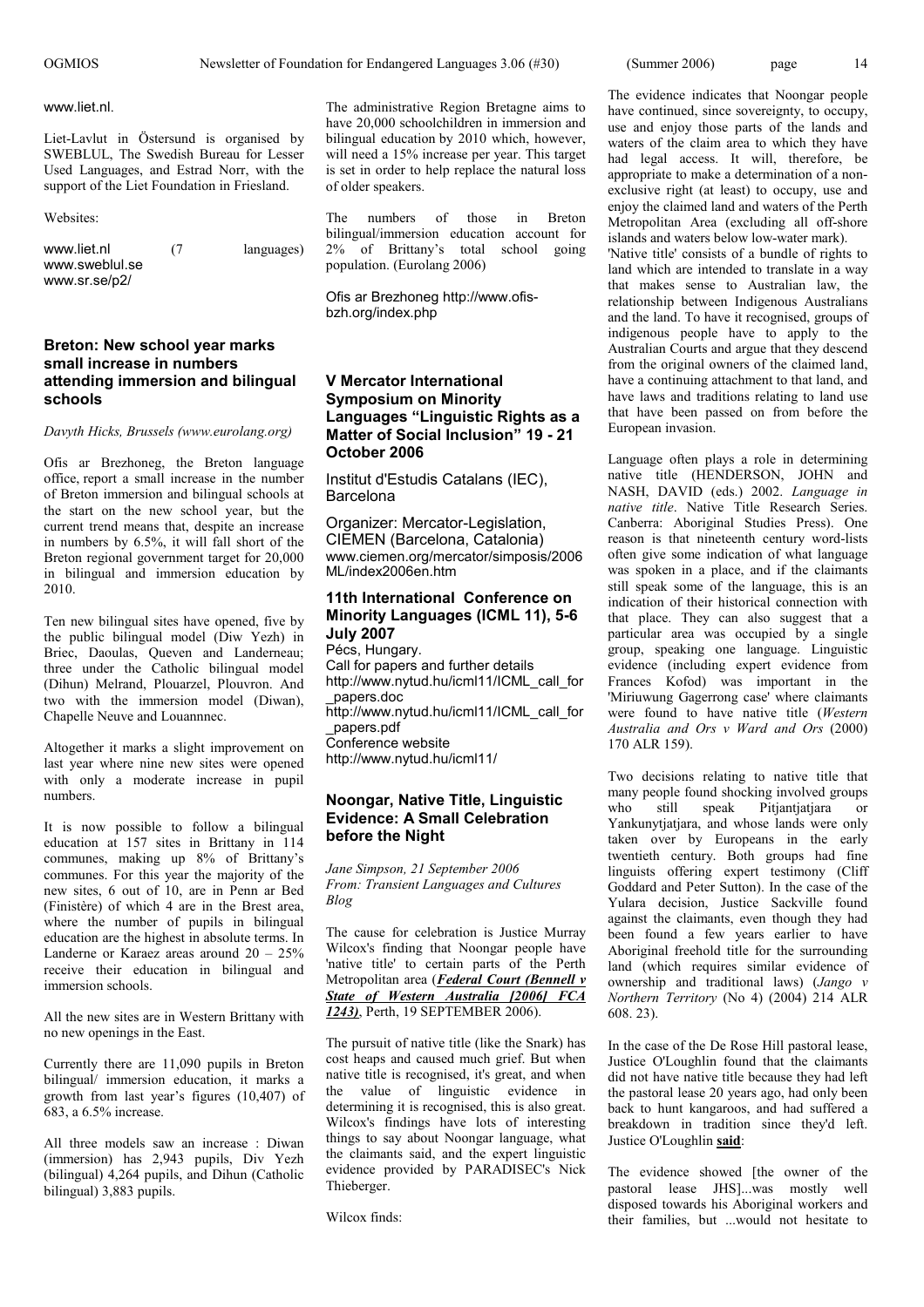#### www.liet.nl.

Liet-Lavlut in Östersund is organised by SWEBLUL, The Swedish Bureau for Lesser Used Languages, and Estrad Norr, with the support of the Liet Foundation in Friesland.

#### Websites:

| www.liet.nl    | (7) | languages) |
|----------------|-----|------------|
| www.sweblul.se |     |            |
| www.sr.se/p2/  |     |            |

#### **Breton: New school year marks small increase in numbers attending immersion and bilingual schools**

#### *Davyth Hicks, Brussels (www.eurolang.org)*

Ofis ar Brezhoneg, the Breton language office, report a small increase in the number of Breton immersion and bilingual schools at the start on the new school year, but the current trend means that, despite an increase in numbers by 6.5%, it will fall short of the Breton regional government target for 20,000 in bilingual and immersion education by 2010.

Ten new bilingual sites have opened, five by the public bilingual model (Diw Yezh) in Briec, Daoulas, Queven and Landerneau; three under the Catholic bilingual model (Dihun) Melrand, Plouarzel, Plouvron. And two with the immersion model (Diwan), Chapelle Neuve and Louannnec.

Altogether it marks a slight improvement on last year where nine new sites were opened with only a moderate increase in pupil numbers.

It is now possible to follow a bilingual education at 157 sites in Brittany in 114 communes, making up 8% of Brittany's communes. For this year the majority of the new sites, 6 out of 10, are in Penn ar Bed (Finistère) of which 4 are in the Brest area, where the number of pupils in bilingual education are the highest in absolute terms. In Landerne or Karaez areas around  $20 - 25%$ receive their education in bilingual and immersion schools.

All the new sites are in Western Brittany with no new openings in the East.

Currently there are 11,090 pupils in Breton bilingual/ immersion education, it marks a growth from last year's figures (10,407) of 683, a 6.5% increase.

All three models saw an increase : Diwan (immersion) has 2,943 pupils, Div Yezh (bilingual) 4,264 pupils, and Dihun (Catholic bilingual) 3,883 pupils.

The administrative Region Bretagne aims to have 20,000 schoolchildren in immersion and bilingual education by 2010 which, however, will need a 15% increase per year. This target is set in order to help replace the natural loss of older speakers.

The numbers of those in Breton bilingual/immersion education account for 2% of Brittany's total school going population. (Eurolang 2006)

Ofis ar Brezhoneg http://www.ofisbzh.org/index.php

#### **V Mercator International Symposium on Minority Languages "Linguistic Rights as a Matter of Social Inclusion"19 - 21 October 2006**

Institut d'Estudis Catalans (IEC), Barcelona

Organizer: Mercator-Legislation, CIEMEN (Barcelona, Catalonia) www.ciemen.org/mercator/simposis/2006 ML/index2006en.htm

#### **11th International Conference on Minority Languages (ICML 11), 5-6 July 2007**

Pécs, Hungary. Call for papers and further details http://www.nytud.hu/icml11/ICML\_call\_for \_papers.doc http://www.nytud.hu/icml11/ICML\_call\_for \_papers.pdf Conference website http://www.nytud.hu/icml11/

#### **Noongar, Native Title, Linguistic Evidence: A Small Celebration before the Night**

*Jane Simpson, 21 September 2006 From: Transient Languages and Cultures Blog*

The cause for celebration is Justice Murray Wilcox's finding that Noongar people have 'native title' to certain parts of the Perth Metropolitan area (*Federal Court (Bennell v State of Western Australia [2006] FCA 1243)*, Perth, 19 SEPTEMBER 2006).

The pursuit of native title (like the Snark) has cost heaps and caused much grief. But when native title is recognised, it's great, and when the value of linguistic evidence in determining it is recognised, this is also great. Wilcox's findings have lots of interesting things to say about Noongar language, what the claimants said, and the expert linguistic evidence provided by PARADISEC's Nick Thieberger.

Wilcox finds:

The evidence indicates that Noongar people have continued, since sovereignty, to occupy, use and enjoy those parts of the lands and waters of the claim area to which they have had legal access. It will, therefore, be appropriate to make a determination of a nonexclusive right (at least) to occupy, use and enjoy the claimed land and waters of the Perth Metropolitan Area (excluding all off-shore islands and waters below low-water mark). 'Native title' consists of a bundle of rights to land which are intended to translate in a way that makes sense to Australian law, the relationship between Indigenous Australians and the land. To have it recognised, groups of indigenous people have to apply to the Australian Courts and argue that they descend from the original owners of the claimed land, have a continuing attachment to that land, and have laws and traditions relating to land use that have been passed on from before the European invasion.

Language often plays a role in determining native title (HENDERSON, JOHN and NASH, DAVID (eds.) 2002. *Language in native title*. Native Title Research Series. Canberra: Aboriginal Studies Press). One reason is that nineteenth century word-lists often give some indication of what language was spoken in a place, and if the claimants still speak some of the language, this is an indication of their historical connection with that place. They can also suggest that a particular area was occupied by a single group, speaking one language. Linguistic evidence (including expert evidence from Frances Kofod) was important in the 'Miriuwung Gagerrong case' where claimants were found to have native title (*Western Australia and Ors v Ward and Ors* (2000) 170 ALR 159).

Two decisions relating to native title that many people found shocking involved groups who still speak Pitjantjatjara or Yankunytjatjara, and whose lands were only taken over by Europeans in the early twentieth century. Both groups had fine linguists offering expert testimony (Cliff Goddard and Peter Sutton). In the case of the Yulara decision, Justice Sackville found against the claimants, even though they had been found a few years earlier to have Aboriginal freehold title for the surrounding land (which requires similar evidence of ownership and traditional laws) (*Jango v Northern Territory* (No 4) (2004) 214 ALR 608. 23).

In the case of the De Rose Hill pastoral lease, Justice O'Loughlin found that the claimants did not have native title because they had left the pastoral lease 20 years ago, had only been back to hunt kangaroos, and had suffered a breakdown in tradition since they'd left. Justice O'Loughlin **said**:

The evidence showed [the owner of the pastoral lease JHS]...was mostly well disposed towards his Aboriginal workers and their families, but ...would not hesitate to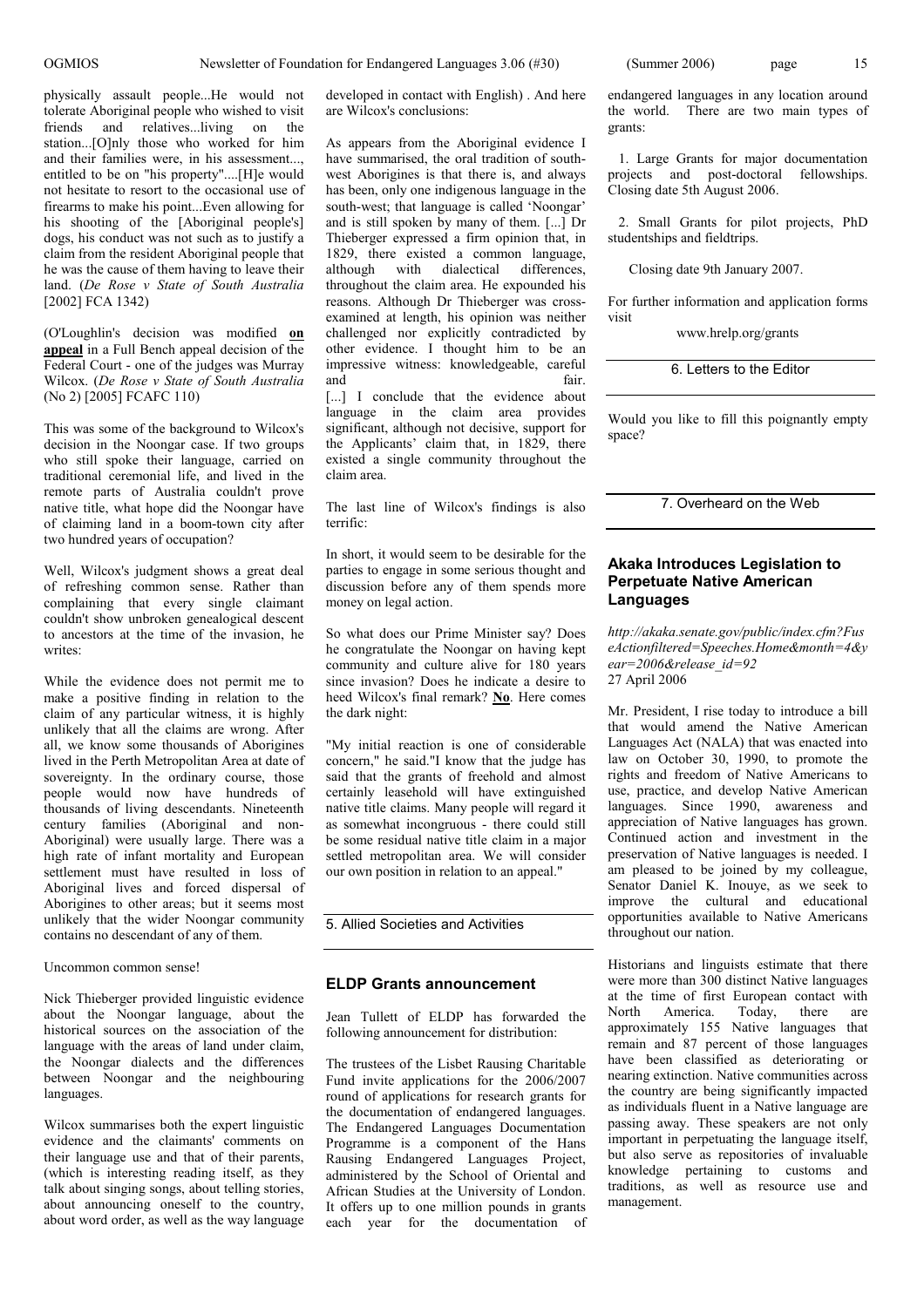physically assault people...He would not tolerate Aboriginal people who wished to visit friends and relatives...living on the station...[O]nly those who worked for him and their families were, in his assessment..., entitled to be on "his property"....[H]e would not hesitate to resort to the occasional use of firearms to make his point...Even allowing for his shooting of the [Aboriginal people's] dogs, his conduct was not such as to justify a claim from the resident Aboriginal people that he was the cause of them having to leave their land. (*De Rose v State of South Australia* [2002] FCA 1342)

(O'Loughlin's decision was modified **on appeal** in a Full Bench appeal decision of the Federal Court - one of the judges was Murray Wilcox. (*De Rose v State of South Australia* (No 2) [2005] FCAFC 110)

This was some of the background to Wilcox's decision in the Noongar case. If two groups who still spoke their language, carried on traditional ceremonial life, and lived in the remote parts of Australia couldn't prove native title, what hope did the Noongar have of claiming land in a boom-town city after two hundred years of occupation?

Well, Wilcox's judgment shows a great deal of refreshing common sense. Rather than complaining that every single claimant couldn't show unbroken genealogical descent to ancestors at the time of the invasion, he writes:

While the evidence does not permit me to make a positive finding in relation to the claim of any particular witness, it is highly unlikely that all the claims are wrong. After all, we know some thousands of Aborigines lived in the Perth Metropolitan Area at date of sovereignty. In the ordinary course, those people would now have hundreds of thousands of living descendants. Nineteenth century families (Aboriginal and non-Aboriginal) were usually large. There was a high rate of infant mortality and European settlement must have resulted in loss of Aboriginal lives and forced dispersal of Aborigines to other areas; but it seems most unlikely that the wider Noongar community contains no descendant of any of them.

#### Uncommon common sense!

Nick Thieberger provided linguistic evidence about the Noongar language, about the historical sources on the association of the language with the areas of land under claim, the Noongar dialects and the differences between Noongar and the neighbouring languages.

Wilcox summarises both the expert linguistic evidence and the claimants' comments on their language use and that of their parents, (which is interesting reading itself, as they talk about singing songs, about telling stories, about announcing oneself to the country, about word order, as well as the way language

developed in contact with English) . And here are Wilcox's conclusions:

As appears from the Aboriginal evidence I have summarised, the oral tradition of southwest Aborigines is that there is, and always has been, only one indigenous language in the south-west; that language is called 'Noongar' and is still spoken by many of them. [...] Dr Thieberger expressed a firm opinion that, in 1829, there existed a common language, although with dialectical differences, throughout the claim area. He expounded his reasons. Although Dr Thieberger was crossexamined at length, his opinion was neither challenged nor explicitly contradicted by other evidence. I thought him to be an impressive witness: knowledgeable, careful and fair. [...] I conclude that the evidence about language in the claim area provides significant, although not decisive, support for the Applicants' claim that, in 1829, there existed a single community throughout the claim area.

The last line of Wilcox's findings is also terrific:

In short, it would seem to be desirable for the parties to engage in some serious thought and discussion before any of them spends more money on legal action.

So what does our Prime Minister say? Does he congratulate the Noongar on having kept community and culture alive for 180 years since invasion? Does he indicate a desire to heed Wilcox's final remark? **No**. Here comes the dark night:

"My initial reaction is one of considerable concern," he said."I know that the judge has said that the grants of freehold and almost certainly leasehold will have extinguished native title claims. Many people will regard it as somewhat incongruous - there could still be some residual native title claim in a major settled metropolitan area. We will consider our own position in relation to an appeal."

5. Allied Societies and Activities

#### **ELDP Grants announcement**

Jean Tullett of ELDP has forwarded the following announcement for distribution:

The trustees of the Lisbet Rausing Charitable Fund invite applications for the 2006/2007 round of applications for research grants for the documentation of endangered languages. The Endangered Languages Documentation Programme is a component of the Hans Rausing Endangered Languages Project, administered by the School of Oriental and African Studies at the University of London. It offers up to one million pounds in grants each year for the documentation of

endangered languages in any location around the world. There are two main types of grants:

1. Large Grants for major documentation projects and post-doctoral fellowships. Closing date 5th August 2006.

2. Small Grants for pilot projects, PhD studentships and fieldtrips.

Closing date 9th January 2007.

For further information and application forms visit

www.hrelp.org/grants

6. Letters to the Editor

Would you like to fill this poignantly empty space?

7. Overheard on the Web

#### **Akaka Introduces Legislation to Perpetuate Native American Languages**

*http://akaka.senate.gov/public/index.cfm?Fus eActionfiltered=Speeches.Home&month=4&y ear=2006&release\_id=92* 27 April 2006

Mr. President, I rise today to introduce a bill that would amend the Native American Languages Act (NALA) that was enacted into law on October 30, 1990, to promote the rights and freedom of Native Americans to use, practice, and develop Native American languages. Since 1990, awareness and appreciation of Native languages has grown. Continued action and investment in the preservation of Native languages is needed. I am pleased to be joined by my colleague, Senator Daniel K. Inouye, as we seek to improve the cultural and educational opportunities available to Native Americans throughout our nation.

Historians and linguists estimate that there were more than 300 distinct Native languages at the time of first European contact with<br>North America. Today, there are Today, there are approximately 155 Native languages that remain and 87 percent of those languages have been classified as deteriorating or nearing extinction. Native communities across the country are being significantly impacted as individuals fluent in a Native language are passing away. These speakers are not only important in perpetuating the language itself, but also serve as repositories of invaluable knowledge pertaining to customs and traditions, as well as resource use and management.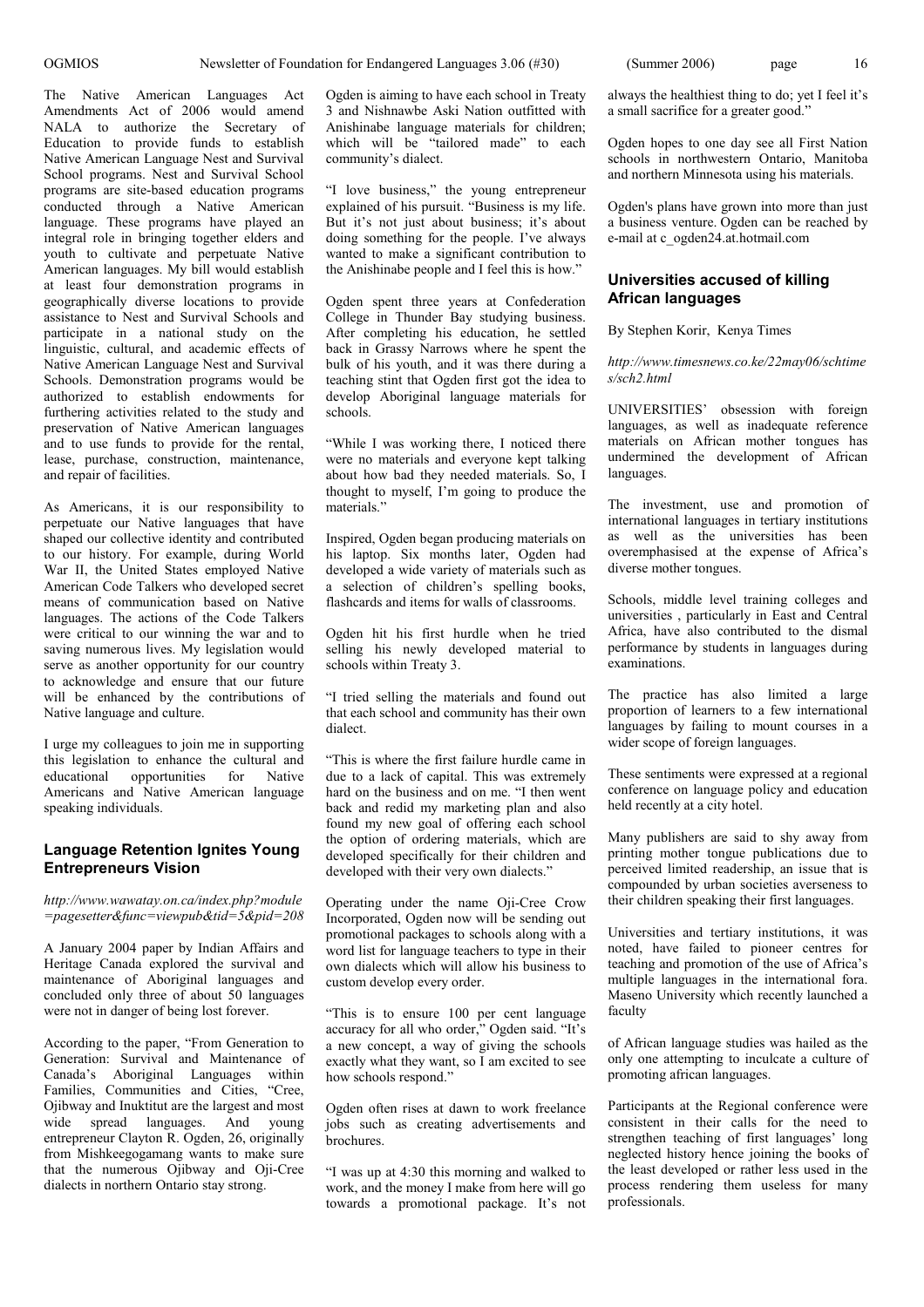The Native American Languages Act Amendments Act of 2006 would amend NALA to authorize the Secretary of Education to provide funds to establish Native American Language Nest and Survival School programs. Nest and Survival School programs are site-based education programs conducted through a Native American language. These programs have played an integral role in bringing together elders and youth to cultivate and perpetuate Native American languages. My bill would establish at least four demonstration programs in geographically diverse locations to provide assistance to Nest and Survival Schools and participate in a national study on the linguistic, cultural, and academic effects of Native American Language Nest and Survival Schools. Demonstration programs would be authorized to establish endowments for furthering activities related to the study and preservation of Native American languages and to use funds to provide for the rental, lease, purchase, construction, maintenance, and repair of facilities.

As Americans, it is our responsibility to perpetuate our Native languages that have shaped our collective identity and contributed to our history. For example, during World War II, the United States employed Native American Code Talkers who developed secret means of communication based on Native languages. The actions of the Code Talkers were critical to our winning the war and to saving numerous lives. My legislation would serve as another opportunity for our country to acknowledge and ensure that our future will be enhanced by the contributions of Native language and culture.

I urge my colleagues to join me in supporting this legislation to enhance the cultural and educational opportunities for Native Americans and Native American language speaking individuals.

#### **Language Retention Ignites Young Entrepreneurs Vision**

*http://www.wawatay.on.ca/index.php?module =pagesetter&func=viewpub&tid=5&pid=208*

A January 2004 paper by Indian Affairs and Heritage Canada explored the survival and maintenance of Aboriginal languages and concluded only three of about 50 languages were not in danger of being lost forever.

According to the paper, "From Generation to Generation: Survival and Maintenance of Canada's Aboriginal Languages within Families, Communities and Cities, "Cree, Ojibway and Inuktitut are the largest and most wide spread languages. And young entrepreneur Clayton R. Ogden, 26, originally from Mishkeegogamang wants to make sure that the numerous Ojibway and Oji-Cree dialects in northern Ontario stay strong.

Ogden is aiming to have each school in Treaty 3 and Nishnawbe Aski Nation outfitted with Anishinabe language materials for children; which will be "tailored made" to each community's dialect.

"I love business," the young entrepreneur explained of his pursuit. "Business is my life. But it's not just about business; it's about doing something for the people. I've always wanted to make a significant contribution to the Anishinabe people and I feel this is how."

Ogden spent three years at Confederation College in Thunder Bay studying business. After completing his education, he settled back in Grassy Narrows where he spent the bulk of his youth, and it was there during a teaching stint that Ogden first got the idea to develop Aboriginal language materials for schools.

"While I was working there, I noticed there were no materials and everyone kept talking about how bad they needed materials. So, I thought to myself, I'm going to produce the materials<sup>"</sup>

Inspired, Ogden began producing materials on his laptop. Six months later. Ogden had developed a wide variety of materials such as a selection of children's spelling books, flashcards and items for walls of classrooms.

Ogden hit his first hurdle when he tried selling his newly developed material to schools within Treaty 3.

"I tried selling the materials and found out that each school and community has their own dialect.

"This is where the first failure hurdle came in due to a lack of capital. This was extremely hard on the business and on me. "I then went back and redid my marketing plan and also found my new goal of offering each school the option of ordering materials, which are developed specifically for their children and developed with their very own dialects."

Operating under the name Oji-Cree Crow Incorporated, Ogden now will be sending out promotional packages to schools along with a word list for language teachers to type in their own dialects which will allow his business to custom develop every order.

"This is to ensure 100 per cent language accuracy for all who order," Ogden said. "It's a new concept, a way of giving the schools exactly what they want, so I am excited to see how schools respond."

Ogden often rises at dawn to work freelance jobs such as creating advertisements and brochures.

"I was up at 4:30 this morning and walked to work, and the money I make from here will go towards a promotional package. It's not

always the healthiest thing to do; yet I feel it's

a small sacrifice for a greater good."

Ogden hopes to one day see all First Nation schools in northwestern Ontario, Manitoba and northern Minnesota using his materials.

Ogden's plans have grown into more than just a business venture. Ogden can be reached by e-mail at c\_ogden24.at.hotmail.com

#### **Universities accused of killing African languages**

By Stephen Korir, Kenya Times

*http://www.timesnews.co.ke/22may06/schtime s/sch2.html*

UNIVERSITIES' obsession with foreign languages, as well as inadequate reference materials on African mother tongues has undermined the development of African languages.

The investment, use and promotion of international languages in tertiary institutions as well as the universities has been overemphasised at the expense of Africa's diverse mother tongues.

Schools, middle level training colleges and universities , particularly in East and Central Africa, have also contributed to the dismal performance by students in languages during examinations.

The practice has also limited a large proportion of learners to a few international languages by failing to mount courses in a wider scope of foreign languages.

These sentiments were expressed at a regional conference on language policy and education held recently at a city hotel.

Many publishers are said to shy away from printing mother tongue publications due to perceived limited readership, an issue that is compounded by urban societies averseness to their children speaking their first languages.

Universities and tertiary institutions, it was noted, have failed to pioneer centres for teaching and promotion of the use of Africa's multiple languages in the international fora. Maseno University which recently launched a faculty

of African language studies was hailed as the only one attempting to inculcate a culture of promoting african languages.

Participants at the Regional conference were consistent in their calls for the need to strengthen teaching of first languages' long neglected history hence joining the books of the least developed or rather less used in the process rendering them useless for many professionals.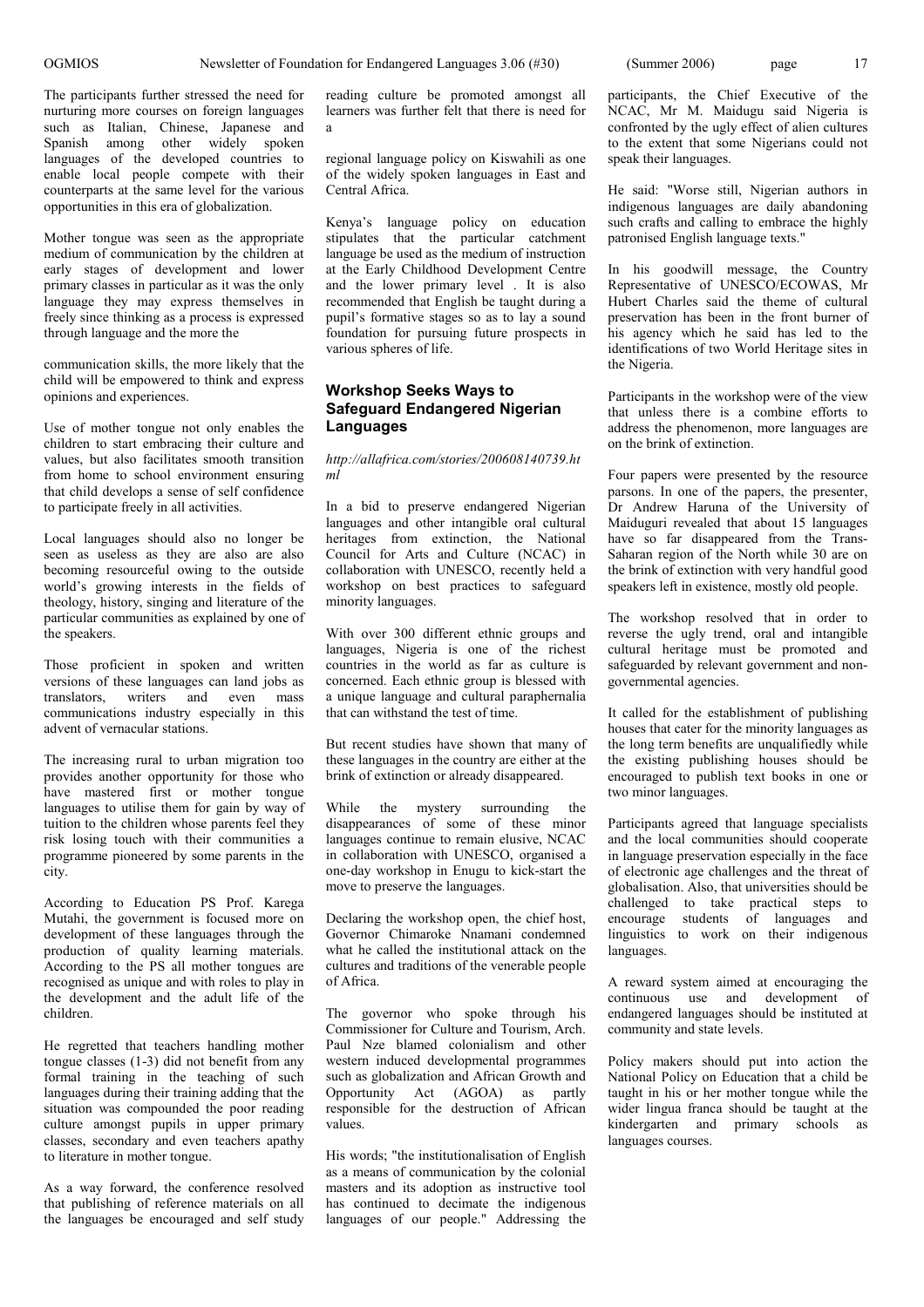The participants further stressed the need for nurturing more courses on foreign languages such as Italian, Chinese, Japanese and Spanish among other widely spoken languages of the developed countries to enable local people compete with their counterparts at the same level for the various opportunities in this era of globalization.

Mother tongue was seen as the appropriate medium of communication by the children at early stages of development and lower primary classes in particular as it was the only language they may express themselves in freely since thinking as a process is expressed through language and the more the

communication skills, the more likely that the child will be empowered to think and express opinions and experiences.

Use of mother tongue not only enables the children to start embracing their culture and values, but also facilitates smooth transition from home to school environment ensuring that child develops a sense of self confidence to participate freely in all activities.

Local languages should also no longer be seen as useless as they are also are also becoming resourceful owing to the outside world's growing interests in the fields of theology, history, singing and literature of the particular communities as explained by one of the speakers.

Those proficient in spoken and written versions of these languages can land jobs as translators, writers and even mass communications industry especially in this advent of vernacular stations.

The increasing rural to urban migration too provides another opportunity for those who have mastered first or mother tongue languages to utilise them for gain by way of tuition to the children whose parents feel they risk losing touch with their communities a programme pioneered by some parents in the city.

According to Education PS Prof. Karega Mutahi, the government is focused more on development of these languages through the production of quality learning materials. According to the PS all mother tongues are recognised as unique and with roles to play in the development and the adult life of the children.

He regretted that teachers handling mother tongue classes (1-3) did not benefit from any formal training in the teaching of such languages during their training adding that the situation was compounded the poor reading culture amongst pupils in upper primary classes, secondary and even teachers apathy to literature in mother tongue.

As a way forward, the conference resolved that publishing of reference materials on all the languages be encouraged and self study

reading culture be promoted amongst all learners was further felt that there is need for a

regional language policy on Kiswahili as one of the widely spoken languages in East and Central Africa.

Kenya's language policy on education stipulates that the particular catchment language be used as the medium of instruction at the Early Childhood Development Centre and the lower primary level . It is also recommended that English be taught during a pupil's formative stages so as to lay a sound foundation for pursuing future prospects in various spheres of life.

#### **Workshop Seeks Ways to Safeguard Endangered Nigerian Languages**

#### *http://allafrica.com/stories/200608140739.ht ml*

In a bid to preserve endangered Nigerian languages and other intangible oral cultural heritages from extinction, the National Council for Arts and Culture (NCAC) in collaboration with UNESCO, recently held a workshop on best practices to safeguard minority languages.

With over 300 different ethnic groups and languages, Nigeria is one of the richest countries in the world as far as culture is concerned. Each ethnic group is blessed with a unique language and cultural paraphernalia that can withstand the test of time.

But recent studies have shown that many of these languages in the country are either at the brink of extinction or already disappeared.

While the mystery surrounding the disappearances of some of these minor languages continue to remain elusive, NCAC in collaboration with UNESCO, organised a one-day workshop in Enugu to kick-start the move to preserve the languages.

Declaring the workshop open, the chief host, Governor Chimaroke Nnamani condemned what he called the institutional attack on the cultures and traditions of the venerable people of Africa.

The governor who spoke through his Commissioner for Culture and Tourism, Arch. Paul Nze blamed colonialism and other western induced developmental programmes such as globalization and African Growth and Opportunity Act (AGOA) as partly responsible for the destruction of African values.

His words; "the institutionalisation of English as a means of communication by the colonial masters and its adoption as instructive tool has continued to decimate the indigenous languages of our people." Addressing the

participants, the Chief Executive of the NCAC, Mr M. Maidugu said Nigeria is confronted by the ugly effect of alien cultures to the extent that some Nigerians could not speak their languages.

He said: "Worse still, Nigerian authors in indigenous languages are daily abandoning such crafts and calling to embrace the highly patronised English language texts."

In his goodwill message, the Country Representative of UNESCO/ECOWAS, Mr. Hubert Charles said the theme of cultural preservation has been in the front burner of his agency which he said has led to the identifications of two World Heritage sites in the Nigeria.

Participants in the workshop were of the view that unless there is a combine efforts to address the phenomenon, more languages are on the brink of extinction.

Four papers were presented by the resource parsons. In one of the papers, the presenter, Dr Andrew Haruna of the University of Maiduguri revealed that about 15 languages have so far disappeared from the Trans-Saharan region of the North while 30 are on the brink of extinction with very handful good speakers left in existence, mostly old people.

The workshop resolved that in order to reverse the ugly trend, oral and intangible cultural heritage must be promoted and safeguarded by relevant government and nongovernmental agencies.

It called for the establishment of publishing houses that cater for the minority languages as the long term benefits are unqualifiedly while the existing publishing houses should be encouraged to publish text books in one or two minor languages.

Participants agreed that language specialists and the local communities should cooperate in language preservation especially in the face of electronic age challenges and the threat of globalisation. Also, that universities should be challenged to take practical steps to encourage students of languages and linguistics to work on their indigenous languages.

A reward system aimed at encouraging the continuous use and development of endangered languages should be instituted at community and state levels.

Policy makers should put into action the National Policy on Education that a child be taught in his or her mother tongue while the wider lingua franca should be taught at the kindergarten and primary schools as languages courses.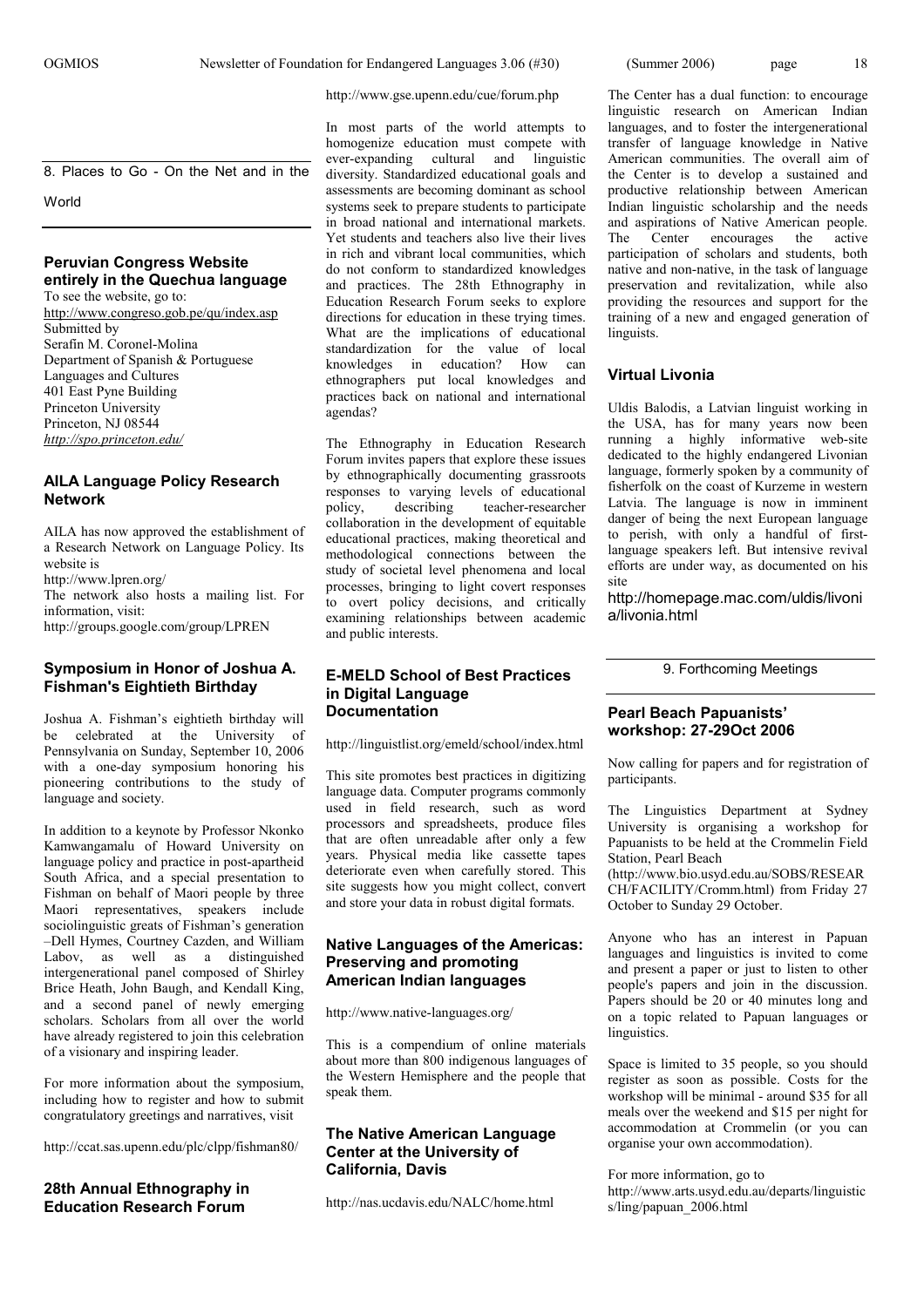#### http://www.gse.upenn.edu/cue/forum.php

8. Places to Go - On the Net and in the

World

#### **Peruvian Congress Website entirely in the Quechua language**

To see the website, go to: http://www.congreso.gob.pe/qu/index.asp Submitted by Serafín M. Coronel-Molina Department of Spanish & Portuguese Languages and Cultures 401 East Pyne Building Princeton University Princeton, NJ 08544 *http://spo.princeton.edu/*

#### **AILA Language Policy Research Network**

AILA has now approved the establishment of a Research Network on Language Policy. Its website is

http://www.lpren.org/

The network also hosts a mailing list. For information, visit:

http://groups.google.com/group/LPREN

#### **Symposium in Honor of Joshua A. Fishman's Eightieth Birthday**

Joshua A. Fishman's eightieth birthday will be celebrated at the University of Pennsylvania on Sunday, September 10, 2006 with a one-day symposium honoring his pioneering contributions to the study of language and society.

In addition to a keynote by Professor Nkonko Kamwangamalu of Howard University on language policy and practice in post-apartheid South Africa, and a special presentation to Fishman on behalf of Maori people by three Maori representatives, speakers include sociolinguistic greats of Fishman's generation –Dell Hymes, Courtney Cazden, and William Labov, as well as a distinguished intergenerational panel composed of Shirley Brice Heath, John Baugh, and Kendall King, and a second panel of newly emerging scholars. Scholars from all over the world have already registered to join this celebration of a visionary and inspiring leader.

For more information about the symposium, including how to register and how to submit congratulatory greetings and narratives, visit

http://ccat.sas.upenn.edu/plc/clpp/fishman80/

#### **28th Annual Ethnography in Education Research Forum**

In most parts of the world attempts to homogenize education must compete with ever-expanding cultural and linguistic diversity. Standardized educational goals and assessments are becoming dominant as school systems seek to prepare students to participate in broad national and international markets. Yet students and teachers also live their lives in rich and vibrant local communities, which do not conform to standardized knowledges and practices. The 28th Ethnography in Education Research Forum seeks to explore directions for education in these trying times. What are the implications of educational standardization for the value of local knowledges in education? How can ethnographers put local knowledges and practices back on national and international agendas?

The Ethnography in Education Research Forum invites papers that explore these issues by ethnographically documenting grassroots responses to varying levels of educational<br>policy, describing teacher-researcher teacher-researcher collaboration in the development of equitable educational practices, making theoretical and methodological connections between the study of societal level phenomena and local processes, bringing to light covert responses to overt policy decisions, and critically examining relationships between academic and public interests.

#### **E-MELD School of Best Practices in Digital Language Documentation**

http://linguistlist.org/emeld/school/index.html

This site promotes best practices in digitizing language data. Computer programs commonly used in field research, such as word processors and spreadsheets, produce files that are often unreadable after only a few years. Physical media like cassette tapes deteriorate even when carefully stored. This site suggests how you might collect, convert and store your data in robust digital formats.

#### **Native Languages of the Americas: Preserving and promoting American Indian languages**

http://www.native-languages.org/

This is a compendium of online materials about more than 800 indigenous languages of the Western Hemisphere and the people that speak them.

#### **The Native American Language Center at the University of California, Davis**

http://nas.ucdavis.edu/NALC/home.html

The Center has a dual function: to encourage linguistic research on American Indian languages, and to foster the intergenerational transfer of language knowledge in Native American communities. The overall aim of the Center is to develop a sustained and productive relationship between American Indian linguistic scholarship and the needs and aspirations of Native American people.<br>The Center encourages the active The Center encourages participation of scholars and students, both native and non-native, in the task of language preservation and revitalization, while also providing the resources and support for the training of a new and engaged generation of linguists.

#### **Virtual Livonia**

Uldis Balodis, a Latvian linguist working in the USA, has for many years now been running a highly informative web-site dedicated to the highly endangered Livonian language, formerly spoken by a community of fisherfolk on the coast of Kurzeme in western Latvia. The language is now in imminent danger of being the next European language to perish, with only a handful of firstlanguage speakers left. But intensive revival efforts are under way, as documented on his site

http://homepage.mac.com/uldis/livoni a/livonia.html

9. Forthcoming Meetings

#### **Pearl Beach Papuanists' workshop: 27-29Oct 2006**

Now calling for papers and for registration of participants.

The Linguistics Department at Sydney University is organising a workshop for Papuanists to be held at the Crommelin Field Station, Pearl Beach

(http://www.bio.usyd.edu.au/SOBS/RESEAR CH/FACILITY/Cromm.html) from Friday 27 October to Sunday 29 October.

Anyone who has an interest in Papuan languages and linguistics is invited to come and present a paper or just to listen to other people's papers and join in the discussion. Papers should be 20 or 40 minutes long and on a topic related to Papuan languages or linguistics.

Space is limited to 35 people, so you should register as soon as possible. Costs for the workshop will be minimal - around \$35 for all meals over the weekend and \$15 per night for accommodation at Crommelin (or you can organise your own accommodation).

For more information, go to http://www.arts.usyd.edu.au/departs/linguistic s/ling/papuan\_2006.html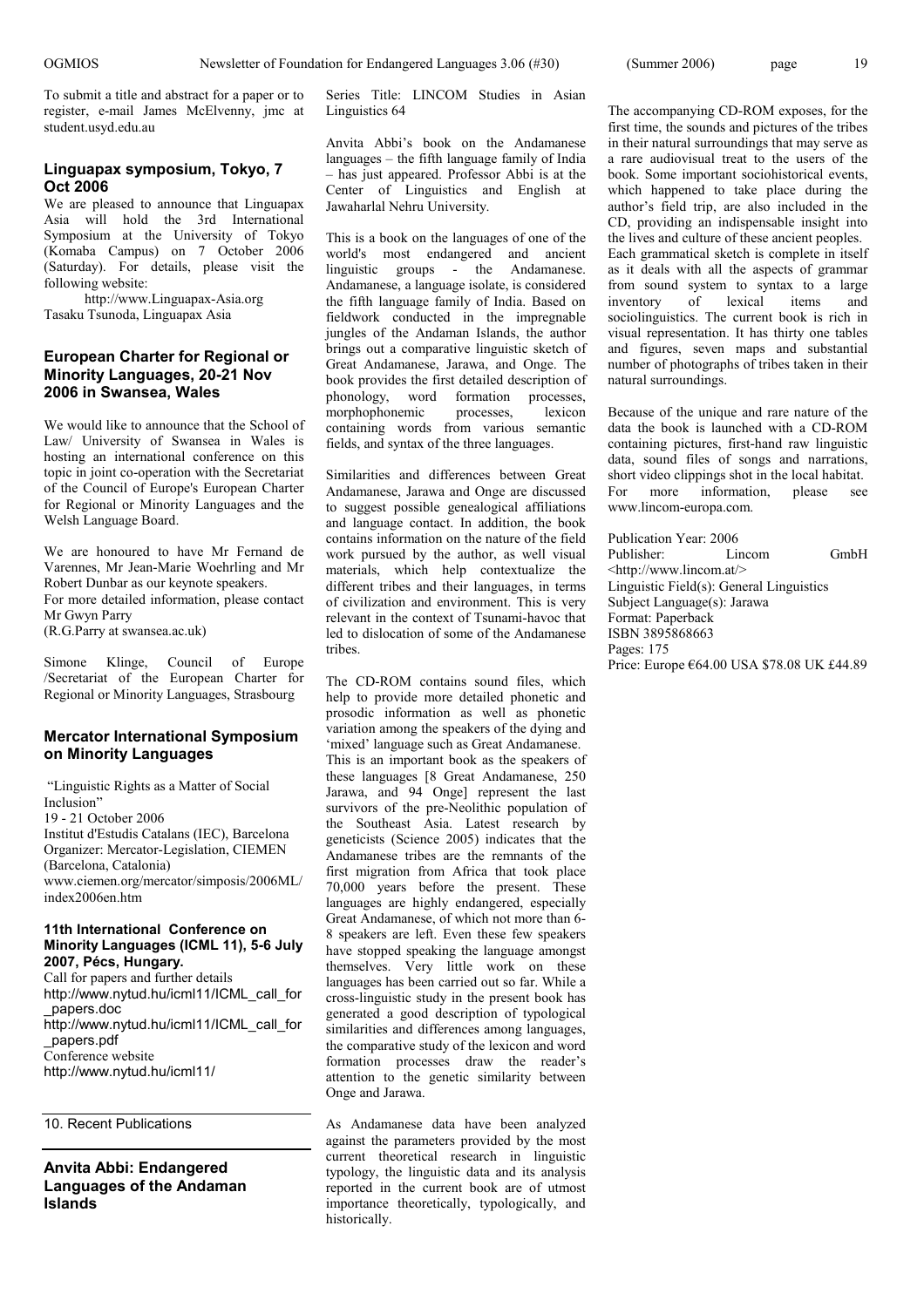To submit a title and abstract for a paper or to register, e-mail James McElvenny, jmc at student.usyd.edu.au

#### **Linguapax symposium, Tokyo, 7 Oct 2006**

We are pleased to announce that Linguapax Asia will hold the 3rd International Symposium at the University of Tokyo (Komaba Campus) on 7 October 2006 (Saturday). For details, please visit the following website:

http://www.Linguapax-Asia.org Tasaku Tsunoda, Linguapax Asia

#### **European Charter for Regional or Minority Languages, 20-21 Nov 2006 in Swansea, Wales**

We would like to announce that the School of Law/ University of Swansea in Wales is hosting an international conference on this topic in joint co-operation with the Secretariat of the Council of Europe's European Charter for Regional or Minority Languages and the Welsh Language Board.

We are honoured to have Mr Fernand de Varennes, Mr Jean-Marie Woehrling and Mr Robert Dunbar as our keynote speakers. For more detailed information, please contact Mr Gwyn Parry (R.G.Parry at swansea.ac.uk)

Simone Klinge, Council of Europe /Secretariat of the European Charter for Regional or Minority Languages, Strasbourg

#### **Mercator International Symposium on Minority Languages**

"Linguistic Rights as a Matter of Social Inclusion" 19 - 21 October 2006 Institut d'Estudis Catalans (IEC), Barcelona Organizer: Mercator-Legislation, CIEMEN (Barcelona, Catalonia) www.ciemen.org/mercator/simposis/2006ML/ index2006en.htm

#### **11th International Conference on Minority Languages (ICML 11), 5-6 July 2007, Pécs, Hungary.**

Call for papers and further details http://www.nytud.hu/icml11/ICML\_call\_for \_papers.doc http://www.nytud.hu/icml11/ICML\_call\_for \_papers.pdf Conference website

http://www.nytud.hu/icml11/

10. Recent Publications

**Anvita Abbi: Endangered Languages of the Andaman Islands**

Series Title: LINCOM Studies in Asian Linguistics 64

Anvita Abbi's book on the Andamanese  $lanquages - the fifth language family of India$ –has just appeared. Professor Abbi is at the Center of Linguistics and English at Jawaharlal Nehru University.

This is a book on the languages of one of the world's most endangered and ancient linguistic groups - the Andamanese. Andamanese, a language isolate, is considered the fifth language family of India. Based on fieldwork conducted in the impregnable jungles of the Andaman Islands, the author brings out a comparative linguistic sketch of Great Andamanese, Jarawa, and Onge. The book provides the first detailed description of phonology, word formation processes, morphophonemic processes, lexicon containing words from various semantic fields, and syntax of the three languages.

Similarities and differences between Great Andamanese, Jarawa and Onge are discussed to suggest possible genealogical affiliations and language contact. In addition, the book contains information on the nature of the field work pursued by the author, as well visual materials, which help contextualize the different tribes and their languages, in terms of civilization and environment. This is very relevant in the context of Tsunami-havoc that led to dislocation of some of the Andamanese tribes.

The CD-ROM contains sound files, which help to provide more detailed phonetic and prosodic information as well as phonetic variation among the speakers of the dying and 'mixed' language such as Great Andamanese. This is an important book as the speakers of these languages [8 Great Andamanese, 250 Jarawa, and 94 Onge] represent the last survivors of the pre-Neolithic population of the Southeast Asia. Latest research by geneticists (Science 2005) indicates that the Andamanese tribes are the remnants of the first migration from Africa that took place 70,000 years before the present. These languages are highly endangered, especially Great Andamanese, of which not more than 6- 8 speakers are left. Even these few speakers have stopped speaking the language amongst themselves. Very little work on these languages has been carried out so far. While a cross-linguistic study in the present book has generated a good description of typological similarities and differences among languages, the comparative study of the lexicon and word formation processes draw the reader's attention to the genetic similarity between Onge and Jarawa.

As Andamanese data have been analyzed against the parameters provided by the most current theoretical research in linguistic typology, the linguistic data and its analysis reported in the current book are of utmost importance theoretically, typologically, and historically.

The accompanying CD-ROM exposes, for the first time, the sounds and pictures of the tribes in their natural surroundings that may serve as a rare audiovisual treat to the users of the book. Some important sociohistorical events, which happened to take place during the author's field trip, are also included in the CD, providing an indispensable insight into the lives and culture of these ancient peoples. Each grammatical sketch is complete in itself as it deals with all the aspects of grammar from sound system to syntax to a large inventory of lexical items and sociolinguistics. The current book is rich in visual representation. It has thirty one tables and figures, seven maps and substantial number of photographs of tribes taken in their natural surroundings.

Because of the unique and rare nature of the data the book is launched with a CD-ROM containing pictures, first-hand raw linguistic data, sound files of songs and narrations, short video clippings shot in the local habitat. For more information, please see www.lincom-europa.com.

Publication Year: 2006<br>Publisher: Lincom Publisher: Lincom GmbH <http://www.lincom.at/> Linguistic Field(s): General Linguistics Subject Language(s): Jarawa Format: Paperback ISBN 3895868663 Pages: 175 Price: Europe €64.00 USA \$78.08 UK £44.89